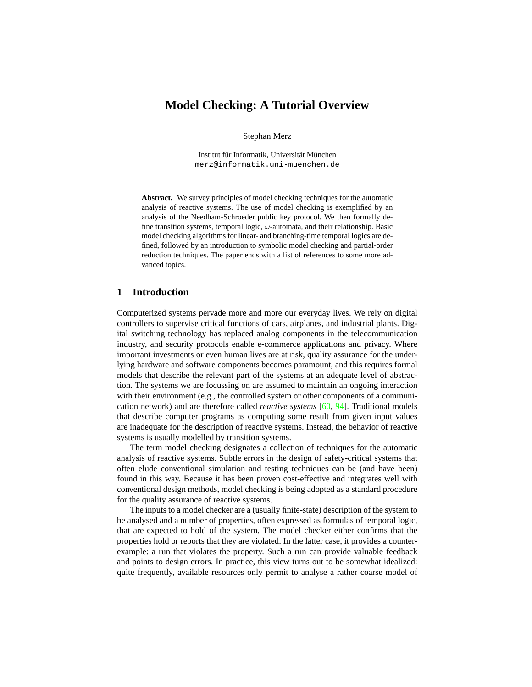# **Model Checking: A Tutorial Overview**

Stephan Merz

Institut für Informatik, Universität München merz@informatik.uni-muenchen.de

**Abstract.** We survey principles of model checking techniques for the automatic analysis of reactive systems. The use of model checking is exemplified by an analysis of the Needham-Schroeder public key protocol. We then formally define transition systems, temporal logic,  $\omega$ -automata, and their relationship. Basic model checking algorithms for linear- and branching-time temporal logics are defined, followed by an introduction to symbolic model checking and partial-order reduction techniques. The paper ends with a list of references to some more advanced topics.

### **1 Introduction**

Computerized systems pervade more and more our everyday lives. We rely on digital controllers to supervise critical functions of cars, airplanes, and industrial plants. Digital switching technology has replaced analog components in the telecommunication industry, and security protocols enable e-commerce applications and privacy. Where important investments or even human lives are at risk, quality assurance for the underlying hardware and software components becomes paramount, and this requires formal models that describe the relevant part of the systems at an adequate level of abstraction. The systems we are focussing on are assumed to maintain an ongoing interaction with their environment (e.g., the controlled system or other components of a communication network) and are therefore called *reactive systems* [[60,](#page-30-0) [94](#page-31-0)]. Traditional models that describe computer programs as computing some result from given input values are inadequate for the description of reactive systems. Instead, the behavior of reactive systems is usually modelled by transition systems.

The term model checking designates a collection of techniques for the automatic analysis of reactive systems. Subtle errors in the design of safety-critical systems that often elude conventional simulation and testing techniques can be (and have been) found in this way. Because it has been proven cost-effective and integrates well with conventional design methods, model checking is being adopted as a standard procedure for the quality assurance of reactive systems.

The inputs to a model checker are a (usually finite-state) description of the system to be analysed and a number of properties, often expressed as formulas of temporal logic, that are expected to hold of the system. The model checker either confirms that the properties hold or reports that they are violated. In the latter case, it provides a counterexample: a run that violates the property. Such a run can provide valuable feedback and points to design errors. In practice, this view turns out to be somewhat idealized: quite frequently, available resources only permit to analyse a rather coarse model of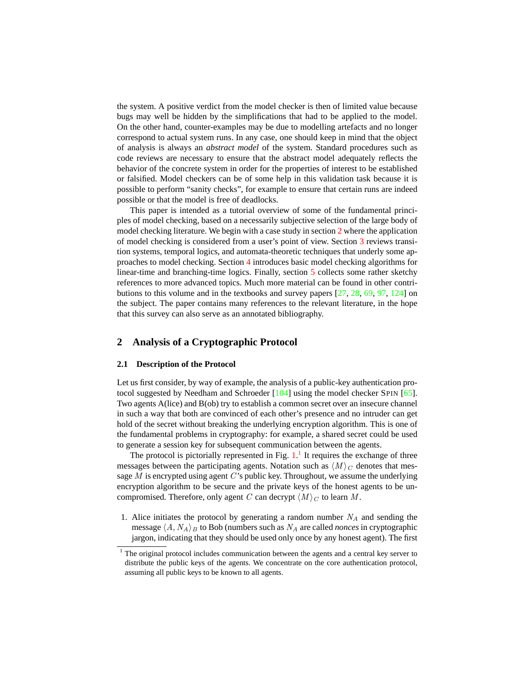the system. A positive verdict from the model checker is then of limited value because bugs may well be hidden by the simplifications that had to be applied to the model. On the other hand, counter-examples may be due to modelling artefacts and no longer correspond to actual system runs. In any case, one should keep in mind that the object of analysis is always an *abstract model* of the system. Standard procedures such as code reviews are necessary to ensure that the abstract model adequately reflects the behavior of the concrete system in order for the properties of interest to be established or falsified. Model checkers can be of some help in this validation task because it is possible to perform "sanity checks", for example to ensure that certain runs are indeed possible or that the model is free of deadlocks.

This paper is intended as a tutorial overview of some of the fundamental principles of model checking, based on a necessarily subjective selection of the large body of model checking literature. We begin with a case study in section [2](#page-1-0) where the application of model checking is considered from a user's point of view. Section [3](#page-7-0) reviews transition systems, temporal logics, and automata-theoretic techniques that underly some approaches to model checking. Section [4](#page-15-0) introduces basic model checking algorithms for linear-time and branching-time logics. Finally, section [5](#page-24-0) collects some rather sketchy references to more advanced topics. Much more material can be found in other contributions to this volume and in the textbooks and survey papers [[27,](#page-28-0) [28,](#page-28-1) [69](#page-30-1), [97](#page-32-0), [124\]](#page-33-0) on the subject. The paper contains many references to the relevant literature, in the hope that this survey can also serve as an annotated bibliography.

### <span id="page-1-0"></span>**2 Analysis of a Cryptographic Protocol**

#### <span id="page-1-2"></span>**2.1 Description of the Protocol**

Let us first consider, by way of example, the analysis of a public-key authentication protocol suggested by Needham and Schroeder [[104\]](#page-32-1) using the model checker SPIN [[65\]](#page-30-2). Two agents A(lice) and B(ob) try to establish a common secret over an insecure channel in such a way that both are convinced of each other's presence and no intruder can get hold of the secret without breaking the underlying encryption algorithm. This is one of the fundamental problems in cryptography: for example, a shared secret could be used to generate a session key for subsequent communication between the agents.

The protocol is pictorially represented in Fig.  $1<sup>1</sup>$  $1<sup>1</sup>$  It requires the exchange of three messages between the participating agents. Notation such as  $\langle M \rangle_C$  denotes that message  $M$  is encrypted using agent  $C$ 's public key. Throughout, we assume the underlying encryption algorithm to be secure and the private keys of the honest agents to be uncompromised. Therefore, only agent C can decrypt  $\langle M \rangle_C$  to learn M.

1. Alice initiates the protocol by generating a random number  $N_A$  and sending the message  $\langle A, N_A \rangle_B$  to Bob (numbers such as  $N_A$  are called *nonces* in cryptographic jargon, indicating that they should be used only once by any honest agent). The first

<span id="page-1-1"></span><sup>&</sup>lt;sup>1</sup> The original protocol includes communication between the agents and a central key server to distribute the public keys of the agents. We concentrate on the core authentication protocol, assuming all public keys to be known to all agents.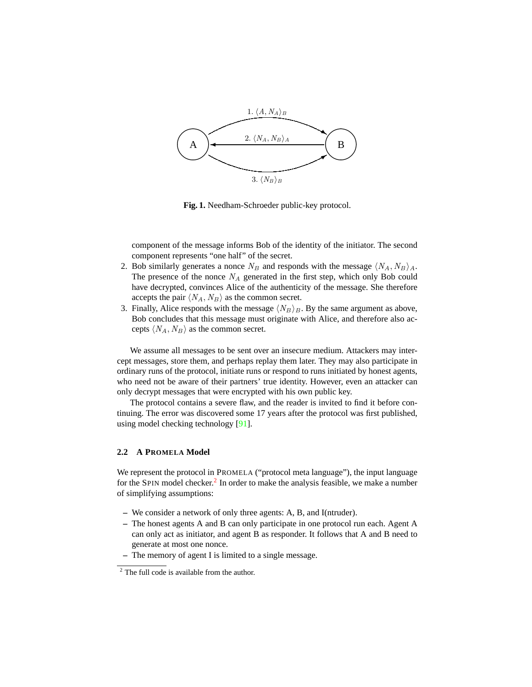

<span id="page-2-0"></span>**Fig. 1.** Needham-Schroeder public-key protocol.

component of the message informs Bob of the identity of the initiator. The second component represents "one half" of the secret.

- 2. Bob similarly generates a nonce  $N_B$  and responds with the message  $\langle N_A, N_B \rangle_A$ . The presence of the nonce  $N_A$  generated in the first step, which only Bob could have decrypted, convinces Alice of the authenticity of the message. She therefore accepts the pair  $\langle N_A, N_B \rangle$  as the common secret.
- 3. Finally, Alice responds with the message  $\langle N_B \rangle_B$ . By the same argument as above, Bob concludes that this message must originate with Alice, and therefore also accepts  $\langle N_A, N_B \rangle$  as the common secret.

We assume all messages to be sent over an insecure medium. Attackers may intercept messages, store them, and perhaps replay them later. They may also participate in ordinary runs of the protocol, initiate runs or respond to runs initiated by honest agents, who need not be aware of their partners' true identity. However, even an attacker can only decrypt messages that were encrypted with his own public key.

The protocol contains a severe flaw, and the reader is invited to find it before continuing. The error was discovered some 17 years after the protocol was first published, using model checking technology [[91\]](#page-31-1).

#### **2.2 A PROMELA Model**

We represent the protocol in PROMELA ("protocol meta language"), the input language for the SPIN model checker.<sup>[2](#page-2-1)</sup> In order to make the analysis feasible, we make a number of simplifying assumptions:

- **–** We consider a network of only three agents: A, B, and I(ntruder).
- **–** The honest agents A and B can only participate in one protocol run each. Agent A can only act as initiator, and agent B as responder. It follows that A and B need to generate at most one nonce.
- **–** The memory of agent I is limited to a single message.

<span id="page-2-1"></span><sup>&</sup>lt;sup>2</sup> The full code is available from the author.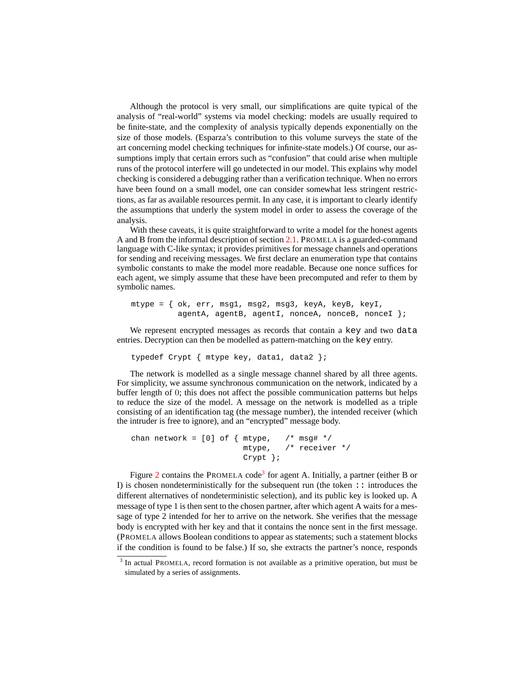Although the protocol is very small, our simplifications are quite typical of the analysis of "real-world" systems via model checking: models are usually required to be finite-state, and the complexity of analysis typically depends exponentially on the size of those models. (Esparza's contribution to this volume surveys the state of the art concerning model checking techniques for infinite-state models.) Of course, our assumptions imply that certain errors such as "confusion" that could arise when multiple runs of the protocol interfere will go undetected in our model. This explains why model checking is considered a debugging rather than a verification technique. When no errors have been found on a small model, one can consider somewhat less stringent restrictions, as far as available resources permit. In any case, it is important to clearly identify the assumptions that underly the system model in order to assess the coverage of the analysis.

With these caveats, it is quite straightforward to write a model for the honest agents A and B from the informal description of section [2.1](#page-1-2). PROMELA is a guarded-command language with C-like syntax; it provides primitives for message channels and operations for sending and receiving messages. We first declare an enumeration type that contains symbolic constants to make the model more readable. Because one nonce suffices for each agent, we simply assume that these have been precomputed and refer to them by symbolic names.

```
mtype = { ok, err, msg1, msg2, msg3, keyA, keyB, keyI,
          agentA, agentB, agentI, nonceA, nonceB, nonceI };
```
We represent encrypted messages as records that contain a key and two data entries. Decryption can then be modelled as pattern-matching on the key entry.

```
typedef Crypt { mtype key, data1, data2 };
```
The network is modelled as a single message channel shared by all three agents. For simplicity, we assume synchronous communication on the network, indicated by a buffer length of 0; this does not affect the possible communication patterns but helps to reduce the size of the model. A message on the network is modelled as a triple consisting of an identification tag (the message number), the intended receiver (which the intruder is free to ignore), and an "encrypted" message body.

```
chan network = [0] of \{ mtype, \}/* msg# */
                        mtype, /* receiver */
                        Crypt };
```
Figure [2](#page-4-0) contains the PROMELA code<sup>[3](#page-3-0)</sup> for agent A. Initially, a partner (either B or I) is chosen nondeterministically for the subsequent run (the token  $\cdot:$  introduces the different alternatives of nondeterministic selection), and its public key is looked up. A message of type 1 is then sent to the chosen partner, after which agent A waits for a message of type 2 intended for her to arrive on the network. She verifies that the message body is encrypted with her key and that it contains the nonce sent in the first message. (PROMELA allows Boolean conditions to appear as statements; such a statement blocks if the condition is found to be false.) If so, she extracts the partner's nonce, responds

<span id="page-3-0"></span> $3$  In actual PROMELA, record formation is not available as a primitive operation, but must be simulated by a series of assignments.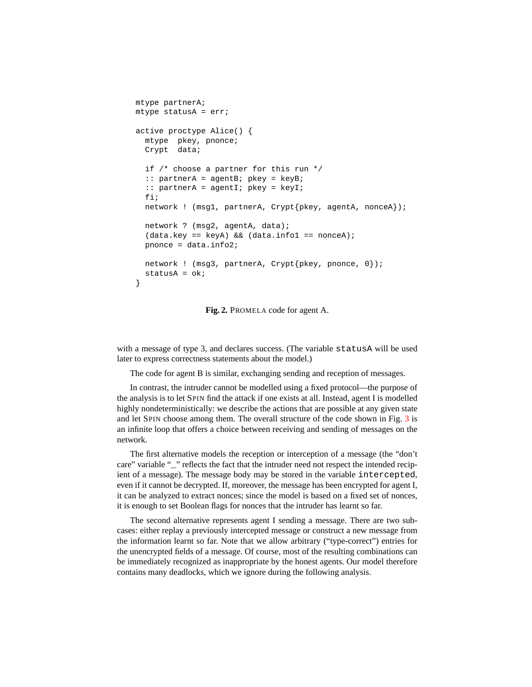```
mtype partnerA;
mtype statusA = err;
active proctype Alice() {
  mtype pkey, pnonce;
  Crypt data;
  if /* choose a partner for this run */
  :: partnerA = agentB; pkey = keyB;
  :: partnerA = agentI; pkey = keyI;
  fi;
  network ! (msg1, partnerA, Crypt{pkey, agentA, nonceA});
  network ? (msg2, agentA, data);
  (data.key == keyA) && (data.info1 == nonceA);
  pnonce = data.info2;
  network ! (msg3, partnerA, Crypt{pkey, pnonce, 0});
  statusA = ok;
}
```
<span id="page-4-0"></span>**Fig. 2.** PROMELA code for agent A.

with a message of type 3, and declares success. (The variable statusA will be used later to express correctness statements about the model.)

The code for agent B is similar, exchanging sending and reception of messages.

In contrast, the intruder cannot be modelled using a fixed protocol—the purpose of the analysis is to let SPIN find the attack if one exists at all. Instead, agent I is modelled highly nondeterministically: we describe the actions that are possible at any given state and let SPIN choose among them. The overall structure of the code shown in Fig. [3](#page-5-0) is an infinite loop that offers a choice between receiving and sending of messages on the network.

The first alternative models the reception or interception of a message (the "don't care" variable " " reflects the fact that the intruder need not respect the intended recipient of a message). The message body may be stored in the variable intercepted, even if it cannot be decrypted. If, moreover, the message has been encrypted for agent I, it can be analyzed to extract nonces; since the model is based on a fixed set of nonces, it is enough to set Boolean flags for nonces that the intruder has learnt so far.

The second alternative represents agent I sending a message. There are two subcases: either replay a previously intercepted message or construct a new message from the information learnt so far. Note that we allow arbitrary ("type-correct") entries for the unencrypted fields of a message. Of course, most of the resulting combinations can be immediately recognized as inappropriate by the honest agents. Our model therefore contains many deadlocks, which we ignore during the following analysis.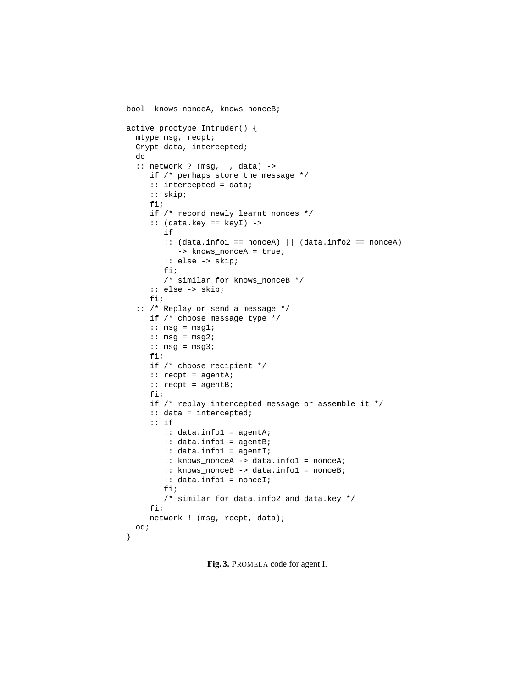```
bool knows_nonceA, knows_nonceB;
active proctype Intruder() {
 mtype msg, recpt;
  Crypt data, intercepted;
 do
  :: network ? (msg, _, data) ->
    if /* perhaps store the message */
     :: intercepted = data;
     :: skip;
     fi;
     if /* record newly learnt nonces */
     :: (data.key == keyI) ->
        if
        :: (data.infol == nonceA) || (data.info2 == nonceA)
           -> knows_nonceA = true;
        :: else -> skip;
        fi;
        /* similar for knows_nonceB */
     :: else -> skip;
     fi;
  :: /* Replay or send a message */
    if /* choose message type */
     :: msg = msgl;
     :: msg = msg2;
    :: msg = msg3;
    fi;
     if /* choose recipient */
     :: recpt = agentA;
     :: recpt = agentB;
     fi;
     if /* replay intercepted message or assemble it */
     :: data = intercepted;
     :: if
        :: data.info1 = agentA;
        :: data.info1 = agentB;
        :: data.info1 = agentI;
        :: knows_nonceA -> data.info1 = nonceA;
        :: knows_nonceB -> data.info1 = nonceB;
       :: data.info1 = nonceI;
        fi;
        /* similar for data.info2 and data.key */
     fi;
     network ! (msg, recpt, data);
 od;
}
```
<span id="page-5-0"></span>**Fig. 3.** PROMELA code for agent I.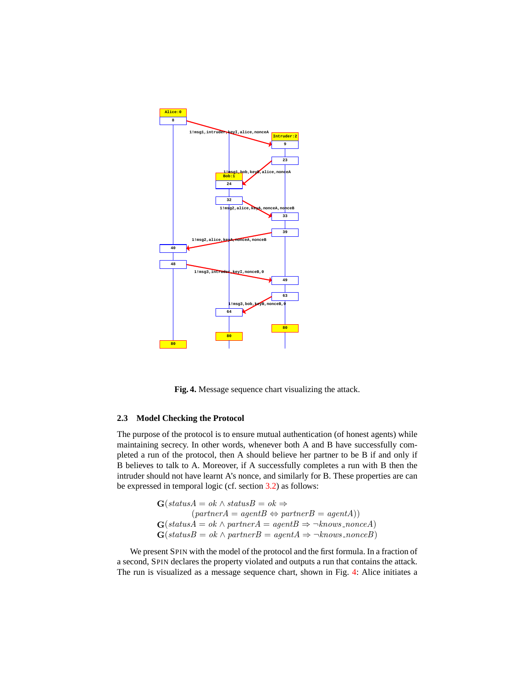

<span id="page-6-0"></span>**Fig. 4.** Message sequence chart visualizing the attack.

#### **2.3 Model Checking the Protocol**

The purpose of the protocol is to ensure mutual authentication (of honest agents) while maintaining secrecy. In other words, whenever both A and B have successfully completed a run of the protocol, then A should believe her partner to be B if and only if B believes to talk to A. Moreover, if A successfully completes a run with B then the intruder should not have learnt A's nonce, and similarly for B. These properties are can be expressed in temporal logic (cf. section [3.2](#page-8-0)) as follows:

> $\mathbf{G}(statusA = ok \wedge statusB = ok \Rightarrow$  ${\text{(}partner A = agent B \Leftrightarrow partner B = agent A{\text{)}}$  $\mathbf{G}(statusA = ok \land partnerA = agentB \Rightarrow \neg knows\_noneA)$  $\mathbf{G}(statusB = ok \land partnerB = agentA \Rightarrow \neg knows\_noneB)$

We present SPIN with the model of the protocol and the first formula. In a fraction of a second, SPIN declares the property violated and outputs a run that contains the attack. The run is visualized as a message sequence chart, shown in Fig. [4](#page-6-0): Alice initiates a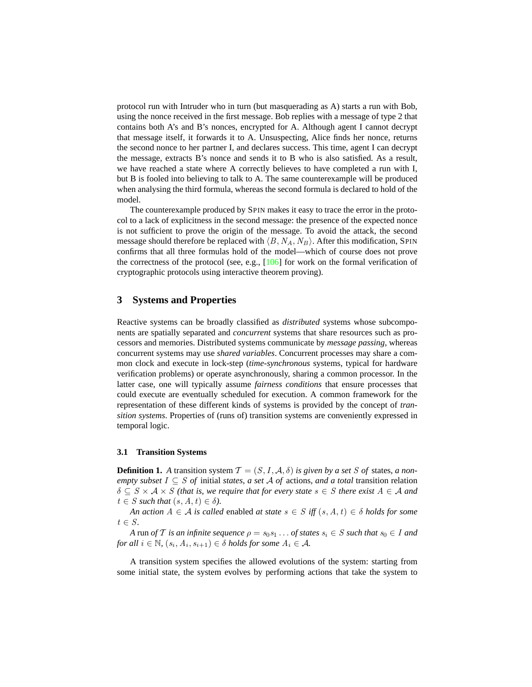protocol run with Intruder who in turn (but masquerading as A) starts a run with Bob, using the nonce received in the first message. Bob replies with a message of type 2 that contains both A's and B's nonces, encrypted for A. Although agent I cannot decrypt that message itself, it forwards it to A. Unsuspecting, Alice finds her nonce, returns the second nonce to her partner I, and declares success. This time, agent I can decrypt the message, extracts B's nonce and sends it to B who is also satisfied. As a result, we have reached a state where A correctly believes to have completed a run with I, but B is fooled into believing to talk to A. The same counterexample will be produced when analysing the third formula, whereas the second formula is declared to hold of the model.

The counterexample produced by SPIN makes it easy to trace the error in the protocol to a lack of explicitness in the second message: the presence of the expected nonce is not sufficient to prove the origin of the message. To avoid the attack, the second message should therefore be replaced with  $\langle B, N_A, N_B \rangle$ . After this modification, SPIN confirms that all three formulas hold of the model—which of course does not prove the correctness of the protocol (see, e.g., [\[106](#page-32-2)] for work on the formal verification of cryptographic protocols using interactive theorem proving).

## <span id="page-7-0"></span>**3 Systems and Properties**

Reactive systems can be broadly classified as *distributed* systems whose subcomponents are spatially separated and *concurrent* systems that share resources such as processors and memories. Distributed systems communicate by *message passing*, whereas concurrent systems may use *shared variables*. Concurrent processes may share a common clock and execute in lock-step (*time-synchronous* systems, typical for hardware verification problems) or operate asynchronously, sharing a common processor. In the latter case, one will typically assume *fairness conditions* that ensure processes that could execute are eventually scheduled for execution. A common framework for the representation of these different kinds of systems is provided by the concept of *transition systems*. Properties of (runs of) transition systems are conveniently expressed in temporal logic.

#### <span id="page-7-2"></span>**3.1 Transition Systems**

<span id="page-7-1"></span>**Definition 1.** A transition system  $\mathcal{T} = (S, I, \mathcal{A}, \delta)$  *is given by a set* S of states, a non*empty subset*  $I \subseteq S$  *of* initial *states, a set*  $A$  *of* actions, and a total transition relation  $\delta \subseteq S \times A \times S$  *(that is, we require that for every state*  $s \in S$  *there exist*  $A \in \mathcal{A}$  *and*  $t \in S$  *such that*  $(s, A, t) \in \delta$ *).* 

*An action*  $A \in \mathcal{A}$  *is called* enabled *at state*  $s \in S$  *iff*  $(s, A, t) \in \delta$  *holds for some*  $t \in S$ .

*A* run *of T is an infinite sequence*  $\rho = s_0 s_1 \dots$  *of states*  $s_i \in S$  *such that*  $s_0 \in I$  *and for all*  $i \in \mathbb{N}$ ,  $(s_i, A_i, s_{i+1}) \in \delta$  *holds for some*  $A_i \in \mathcal{A}$ *.* 

A transition system specifies the allowed evolutions of the system: starting from some initial state, the system evolves by performing actions that take the system to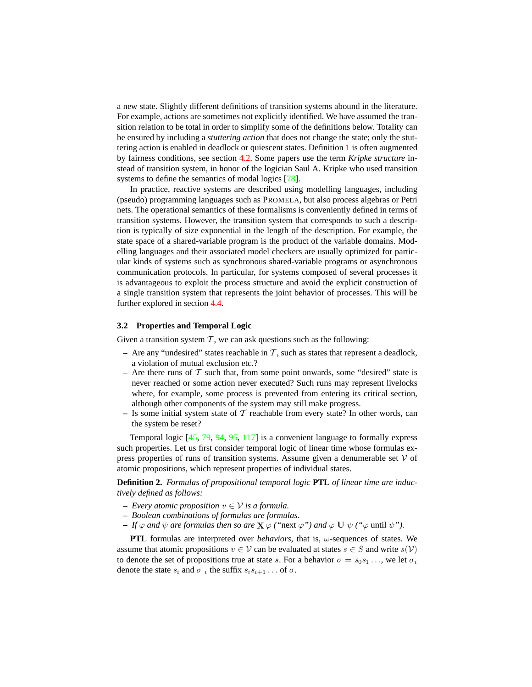a new state. Slightly different definitions of transition systems abound in the literature. For example, actions are sometimes not explicitly identified. We have assumed the transition relation to be total in order to simplify some of the definitions below. Totality can be ensured by including a *stuttering action* that does not change the state; only the stuttering action is enabled in deadlock or quiescent states. Definition [1](#page-7-1) is often augmented by fairness conditions, see section [4.2](#page-17-0). Some papers use the term *Kripke structure* instead of transition system, in honor of the logician Saul A. Kripke who used transition systems to define the semantics of modal logics [\[78](#page-31-2)].

In practice, reactive systems are described using modelling languages, including (pseudo) programming languages such as PROMELA, but also process algebras or Petri nets. The operational semantics of these formalisms is conveniently defined in terms of transition systems. However, the transition system that corresponds to such a description is typically of size exponential in the length of the description. For example, the state space of a shared-variable program is the product of the variable domains. Modelling languages and their associated model checkers are usually optimized for particular kinds of systems such as synchronous shared-variable programs or asynchronous communication protocols. In particular, for systems composed of several processes it is advantageous to exploit the process structure and avoid the explicit construction of a single transition system that represents the joint behavior of processes. This will be further explored in section [4.4.](#page-23-0)

#### <span id="page-8-0"></span>**3.2 Properties and Temporal Logic**

Given a transition system  $\mathcal T$ , we can ask questions such as the following:

- $-$  Are any "undesired" states reachable in  $\mathcal T$ , such as states that represent a deadlock, a violation of mutual exclusion etc.?
- $-$  Are there runs of  $\mathcal T$  such that, from some point onwards, some "desired" state is never reached or some action never executed? Such runs may represent livelocks where, for example, some process is prevented from entering its critical section, although other components of the system may still make progress.
- $-$  Is some initial system state of  $\mathcal T$  reachable from every state? In other words, can the system be reset?

Temporal logic [\[45](#page-29-0), [79,](#page-31-3) [94](#page-31-0), [95,](#page-32-3) [117\]](#page-33-1) is a convenient language to formally express such properties. Let us first consider temporal logic of linear time whose formulas express properties of runs of transition systems. Assume given a denumerable set  $V$  of atomic propositions, which represent properties of individual states.

**Definition 2.** *Formulas of propositional temporal logic* **PTL** *of linear time are inductively defined as follows:*

- $\overline{\phantom{a}}$   *Every atomic proposition*  $v \in V$  *is a formula.*
- **–** *Boolean combinations of formulas are formulas.*
- $\mathcal{L}$  *– If*  $\varphi$  *and*  $\psi$  *are formulas then so are*  $\mathbf{X} \varphi$  *("next*  $\varphi$ "*) and*  $\varphi$  **U**  $\psi$  *("* $\varphi$  until  $\psi$ "*)*.

**PTL** formulas are interpreted over *behaviors*, that is, ω-sequences of states. We assume that atomic propositions  $v \in V$  can be evaluated at states  $s \in S$  and write  $s(V)$ to denote the set of propositions true at state s. For a behavior  $\sigma = s_0 s_1 \dots$ , we let  $\sigma_i$ denote the state  $s_i$  and  $\sigma|_i$  the suffix  $s_i s_{i+1} \dots$  of  $\sigma$ .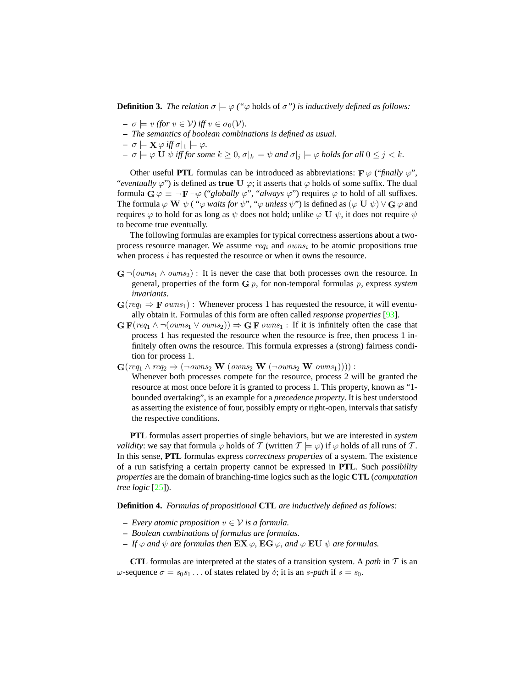**Definition 3.** *The relation*  $\sigma \models \varphi$  *("* $\varphi$  holds of  $\sigma$ ") *is inductively defined as follows:* 

- $-\sigma \models v$  *(for*  $v \in V$ *) iff*  $v \in \sigma_0(V)$ *.*
- **–** *The semantics of boolean combinations is defined as usual.*
- $\sigma \models \mathbf{X} \varphi \text{ iff } \sigma |_{1} \models \varphi.$
- $\mathbf{p} \sigma \models \varphi \mathbf{U} \ \psi$  *iff for some*  $k \geq 0$ ,  $\sigma|_k \models \psi$  *and*  $\sigma|_j \models \varphi$  *holds for all*  $0 \leq j < k$ *.*

Other useful **PTL** formulas can be introduced as abbreviations:  $\mathbf{F}\varphi$  ("*finally*  $\varphi$ ", "*eventually*  $\varphi$ ") is defined as **true** U  $\varphi$ ; it asserts that  $\varphi$  holds of some suffix. The dual formula  $\mathbf{G} \varphi \equiv \neg \mathbf{F} \neg \varphi$  ("*globally*  $\varphi$ ", "*always*  $\varphi$ ") requires  $\varphi$  to hold of all suffixes. The formula  $\varphi \mathbf{W} \psi$  ( " $\varphi$  *waits for*  $\psi$ ", " $\varphi$  *unless*  $\psi$ ") is defined as  $(\varphi \mathbf{U} \psi) \vee \mathbf{G} \varphi$  and requires  $\varphi$  to hold for as long as  $\psi$  does not hold; unlike  $\varphi$  U  $\psi$ , it does not require  $\psi$ to become true eventually.

The following formulas are examples for typical correctness assertions about a twoprocess resource manager. We assume  $req<sub>i</sub>$  and  $owns<sub>i</sub>$  to be atomic propositions true when process  $i$  has requested the resource or when it owns the resource.

- $\mathbf{G} \neg(own_{\mathcal{O}} \neg( \text{own}_{\mathcal{S}_1} \wedge \text{own}_{\mathcal{S}_2})$ : It is never the case that both processes own the resource. In general, properties of the form  $G$  p, for non-temporal formulas p, express *system invariants*.
- $G(req_1 \Rightarrow F \text{ owns}_1)$ : Whenever process 1 has requested the resource, it will eventually obtain it. Formulas of this form are often called *response properties* [\[93](#page-31-4)].
- $GF(req_1 \wedge \neg(owns_1 \vee owns_1 \vee owns_2)) \Rightarrow GF\text{ owns}_1$ : If it is infinitely often the case that process 1 has requested the resource when the resource is free, then process 1 infinitely often owns the resource. This formula expresses a (strong) fairness condition for process 1.
- $\mathbf{G}(req_1 \wedge req_2 \Rightarrow (\neg \textit{owns}_2 \mathbf{W} (\textit{owns}_2 \mathbf{W} (\neg \textit{owns}_2 \mathbf{W} \textit{owns}_1))))$ :
	- Whenever both processes compete for the resource, process 2 will be granted the resource at most once before it is granted to process 1. This property, known as "1 bounded overtaking", is an example for a *precedence property*. It is best understood as asserting the existence of four, possibly empty or right-open, intervals that satisfy the respective conditions.

**PTL** formulas assert properties of single behaviors, but we are interested in *system validity*: we say that formula  $\varphi$  holds of T (written  $T \models \varphi$ ) if  $\varphi$  holds of all runs of T. In this sense, **PTL** formulas express *correctness properties* of a system. The existence of a run satisfying a certain property cannot be expressed in **PTL**. Such *possibility properties* are the domain of branching-time logics such as the logic **CTL** (*computation tree logic* [\[25\]](#page-28-2)).

**Definition 4.** *Formulas of propositional* **CTL** *are inductively defined as follows:*

- $\overline{\phantom{a}}$   *Every atomic proposition*  $v \in V$  *is a formula.*
- **–** *Boolean combinations of formulas are formulas.*
- $-$  *If*  $\varphi$  *and*  $\psi$  *are formulas then*  $\mathbf{EX} \varphi$ *,*  $\mathbf{EG} \varphi$ *, and*  $\varphi$   $\mathbf{EU} \psi$  *are formulas.*

<span id="page-9-0"></span>**CTL** formulas are interpreted at the states of a transition system. A *path* in T is an ω-sequence  $σ = s_0 s_1 \dots$  of states related by  $δ$ ; it is an *s-path* if  $s = s_0$ .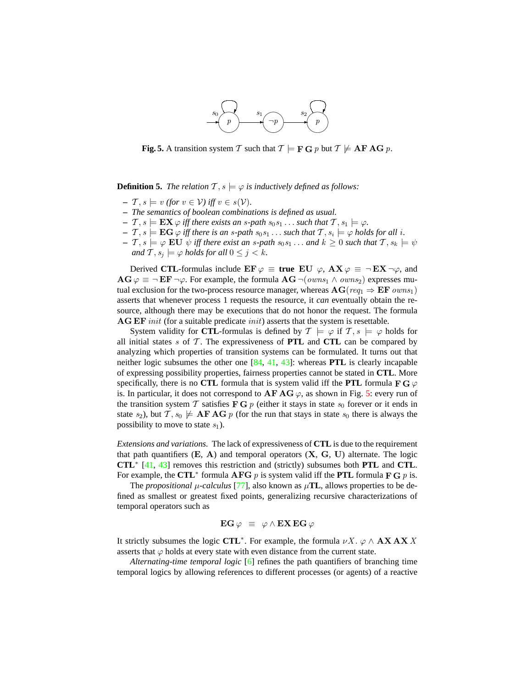

<span id="page-10-0"></span>**Fig. 5.** A transition system T such that  $T \models F G p$  but  $T \not\models AFAG p$ .

**Definition 5.** *The relation*  $\mathcal{T}, s \models \varphi$  *is inductively defined as follows:* 

- $\mathcal{I}$ , *s*  $\models v$  *(for v* ∈  $\mathcal{V}$ *) iff v* ∈ *s*( $\mathcal{V}$ *)*.
- **–** *The semantics of boolean combinations is defined as usual.*
- $\mathcal{I} \mathcal{T}, s \models \mathbf{EX} \varphi$  *iff there exists an s-path*  $s_0s_1 \dots$  *such that*  $\mathcal{T}, s_1 \models \varphi$ *.*
- $\mathbf{F} = \mathcal{T}, s \models \mathbf{EG} \varphi \text{ iff there is an } s\text{-path } s_0s_1 \ldots \text{ such that } \mathcal{T}, s_i \models \varphi \text{ holds for all } i.$
- $\mathcal{I} \mathcal{T}, s \models \varphi$  EU  $\psi$  *iff there exist an s-path*  $s_0 s_1 \dots$  *and*  $k \geq 0$  *such that*  $\mathcal{T}, s_k \models \psi$ and  $\mathcal{T}, s_j \models \varphi$  holds for all  $0 \leq j < k$ .

Derived **CTL**-formulas include  $EF \varphi \equiv \textbf{true}$   $EU \varphi$ ,  $AX \varphi \equiv \neg EX \neg \varphi$ , and  $AG \varphi \equiv \neg EF \neg \varphi$ . For example, the formula  $AG \neg(owns_1 \wedge owns_2)$  expresses mutual exclusion for the two-process resource manager, whereas  $AG(req_1 \Rightarrow EF \text{ owns}_1)$ asserts that whenever process 1 requests the resource, it *can* eventually obtain the resource, although there may be executions that do not honor the request. The formula AG EF *init* (for a suitable predicate *init*) asserts that the system is resettable.

System validity for **CTL**-formulas is defined by  $\mathcal{T} \models \varphi$  if  $\mathcal{T}, s \models \varphi$  holds for all initial states s of  $T$ . The expressiveness of **PTL** and **CTL** can be compared by analyzing which properties of transition systems can be formulated. It turns out that neither logic subsumes the other one [[84,](#page-31-5) [41,](#page-29-1) [43\]](#page-29-2): whereas **PTL** is clearly incapable of expressing possibility properties, fairness properties cannot be stated in **CTL**. More specifically, there is no **CTL** formula that is system valid iff the **PTL** formula  $\mathbf{F} \mathbf{G} \varphi$ is. In particular, it does not correspond to  $\bf{AF} \bf{AG} \varphi$ , as shown in Fig. [5](#page-10-0): every run of the transition system T satisfies  $\mathbf{F} \mathbf{G} p$  (either it stays in state  $s_0$  forever or it ends in state  $s_2$ ), but  $\mathcal{T}, s_0 \not\models \mathbf{AFAG} p$  (for the run that stays in state  $s_0$  there is always the possibility to move to state  $s_1$ ).

*Extensions and variations.* The lack of expressiveness of **CTL** is due to the requirement that path quantifiers  $(E, A)$  and temporal operators  $(X, G, U)$  alternate. The logic **CTL**<sup>∗</sup> [[41,](#page-29-1) [43](#page-29-2)] removes this restriction and (strictly) subsumes both **PTL** and **CTL**. For example, the CTL<sup>\*</sup> formula AFG p is system valid iff the PTL formula FG p is.

The *propositional*  $\mu$ -calculus [\[77](#page-31-6)], also known as  $\mu$ **TL**, allows properties to be defined as smallest or greatest fixed points, generalizing recursive characterizations of temporal operators such as

$$
\mathbf{EG}\varphi \ \equiv \ \varphi \wedge \mathbf{EX}\,\mathbf{EG}\,\varphi
$$

It strictly subsumes the logic **CTL**<sup>\*</sup>. For example, the formula  $\nu X$ .  $\varphi \wedge AXAXX$ asserts that  $\varphi$  holds at every state with even distance from the current state.

*Alternating-time temporal logic* [[6\]](#page-27-0) refines the path quantifiers of branching time temporal logics by allowing references to different processes (or agents) of a reactive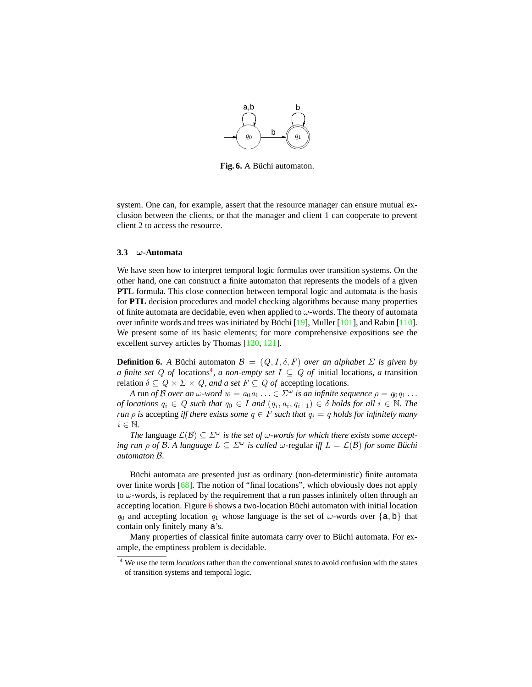

<span id="page-11-1"></span>Fig. 6. A Büchi automaton.

system. One can, for example, assert that the resource manager can ensure mutual exclusion between the clients, or that the manager and client 1 can cooperate to prevent client 2 to access the resource.

#### **3.3** ω**-Automata**

We have seen how to interpret temporal logic formulas over transition systems. On the other hand, one can construct a finite automaton that represents the models of a given **PTL** formula. This close connection between temporal logic and automata is the basis for **PTL** decision procedures and model checking algorithms because many properties of finite automata are decidable, even when applied to  $\omega$ -words. The theory of automata over infinite words and trees was initiated by Büchi  $[19]$  $[19]$  $[19]$ , Muller  $[101]$  $[101]$ , and Rabin  $[110]$  $[110]$ . We present some of its basic elements; for more comprehensive expositions see the excellent survey articles by Thomas [\[120](#page-33-2), [121](#page-33-3)].

**Definition 6.** *A* Büchi automaton  $\mathcal{B} = (Q, I, \delta, F)$  *over an alphabet*  $\Sigma$  *is given by a finite set* Q *of* locations<sup>[4](#page-11-0)</sup>, a non-empty set  $I \subseteq Q$  of initial locations, a transition relation  $\delta \subseteq Q \times \Sigma \times Q$ , and a set  $F \subseteq Q$  of accepting locations.

*A* run *of B over an*  $\omega$ *-word*  $w = a_0 a_1 \dots \in \Sigma^{\omega}$  *is an infinite sequence*  $\rho = q_0 q_1 \dots$ *of locations*  $q_i \in Q$  *such that*  $q_0 \in I$  *and*  $(q_i, a_i, q_{i+1}) \in \delta$  *holds for all*  $i \in \mathbb{N}$ *. The run*  $\rho$  *is* accepting *iff there exists some*  $q \in F$  *such that*  $q_i = q$  *holds for infinitely many*  $i \in \mathbb{N}$ .

*The* language  $\mathcal{L}(\mathcal{B}) \subseteq \Sigma^{\omega}$  *is the set of*  $\omega$ -words for which there exists some accept*ing run*  $\rho$  *of*  $\beta$ *.* A language  $L \subseteq \Sigma^\omega$  *is called*  $\omega$ -regular *iff*  $L = \mathcal{L}(\beta)$  *for some Büchi automaton* B*.*

Büchi automata are presented just as ordinary (non-deterministic) finite automata over finite words [[68\]](#page-30-3). The notion of "final locations", which obviously does not apply to  $\omega$ -words, is replaced by the requirement that a run passes infinitely often through an accepting location. Figure  $6$  shows a two-location Büchi automaton with initial location  $q_0$  and accepting location  $q_1$  whose language is the set of  $\omega$ -words over  $\{a, b\}$  that contain only finitely many a's.

Many properties of classical finite automata carry over to Büchi automata. For example, the emptiness problem is decidable.

<span id="page-11-2"></span><span id="page-11-0"></span><sup>4</sup> We use the term *locations* rather than the conventional *states* to avoid confusion with the states of transition systems and temporal logic.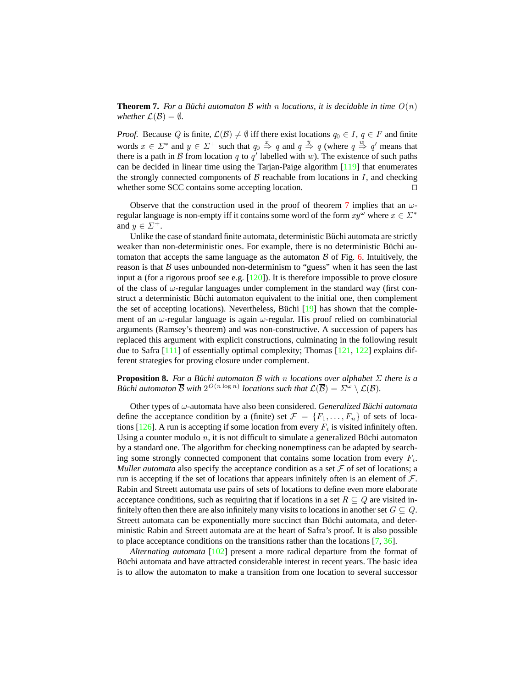**Theorem 7.** For a Buchi automaton B with n locations, it is decidable in time  $O(n)$ *whether*  $\mathcal{L}(\mathcal{B}) = \emptyset$ *.* 

*Proof.* Because Q is finite,  $\mathcal{L}(\mathcal{B}) \neq \emptyset$  iff there exist locations  $q_0 \in I$ ,  $q \in F$  and finite words  $x \in \Sigma^*$  and  $y \in \Sigma^+$  such that  $q_0 \stackrel{x}{\Rightarrow} q$  and  $q \stackrel{y}{\Rightarrow} q$  (where  $q \stackrel{w}{\Rightarrow} q'$  means that there is a path in B from location q to  $q'$  labelled with w). The existence of such paths can be decided in linear time using the Tarjan-Paige algorithm [[119\]](#page-33-4) that enumerates the strongly connected components of  $\beta$  reachable from locations in I, and checking whether some SCC contains some accepting location.  $\Box$ 

Observe that the construction used in the proof of theorem [7](#page-11-2) implies that an  $\omega$ regular language is non-empty iff it contains some word of the form  $xy^{\omega}$  where  $x \in \Sigma^*$ and  $y \in \Sigma^+$ .

Unlike the case of standard finite automata, deterministic Büchi automata are strictly weaker than non-deterministic ones. For example, there is no deterministic Büchi automaton that accepts the same language as the automaton  $\beta$  of Fig. [6.](#page-11-1) Intuitively, the reason is that  $B$  uses unbounded non-determinism to "guess" when it has seen the last input a (for a rigorous proof see e.g.  $[120]$  $[120]$ ). It is therefore impossible to prove closure of the class of  $\omega$ -regular languages under complement in the standard way (first construct a deterministic Büchi automaton equivalent to the initial one, then complement the set of accepting locations). Nevertheless, Büchi  $[19]$  $[19]$  $[19]$  has shown that the complement of an  $\omega$ -regular language is again  $\omega$ -regular. His proof relied on combinatorial arguments (Ramsey's theorem) and was non-constructive. A succession of papers has replaced this argument with explicit constructions, culminating in the following result due to Safra [[111\]](#page-32-6) of essentially optimal complexity; Thomas [[121,](#page-33-3) [122](#page-33-5)] explains different strategies for proving closure under complement.

<span id="page-12-0"></span>**Proposition 8.** *For a Büchi automaton*  $\beta$  *with n locations over alphabet*  $\Sigma$  *there is a Buchi automaton*  $\overline{B}$  *with*  $2^{O(n \log n)}$  *locations such that*  $\mathcal{L}(\overline{B}) = \Sigma^{\omega} \setminus \mathcal{L}(B)$ *.* 

Other types of  $\omega$ -automata have also been considered. *Generalized Buchi automata* define the acceptance condition by a (finite) set  $\mathcal{F} = \{F_1, \ldots, F_n\}$  of sets of loca-tions [[126\]](#page-33-6). A run is accepting if some location from every  $F_i$  is visited infinitely often. Using a counter modulo  $n$ , it is not difficult to simulate a generalized Büchi automaton by a standard one. The algorithm for checking nonemptiness can be adapted by searching some strongly connected component that contains some location from every  $F_i$ . *Muller automata* also specify the acceptance condition as a set  $F$  of set of locations; a run is accepting if the set of locations that appears infinitely often is an element of  $\mathcal{F}$ . Rabin and Streett automata use pairs of sets of locations to define even more elaborate acceptance conditions, such as requiring that if locations in a set  $R \subseteq Q$  are visited infinitely often then there are also infinitely many visits to locations in another set  $G \subseteq Q$ . Streett automata can be exponentially more succinct than Büchi automata, and deterministic Rabin and Streett automata are at the heart of Safra's proof. It is also possible to place acceptance conditions on the transitions rather than the locations [[7,](#page-27-2) [36\]](#page-28-3).

*Alternating automata* [[102\]](#page-32-7) present a more radical departure from the format of Buchi automata and have attracted considerable interest in recent years. The basic idea is to allow the automaton to make a transition from one location to several successor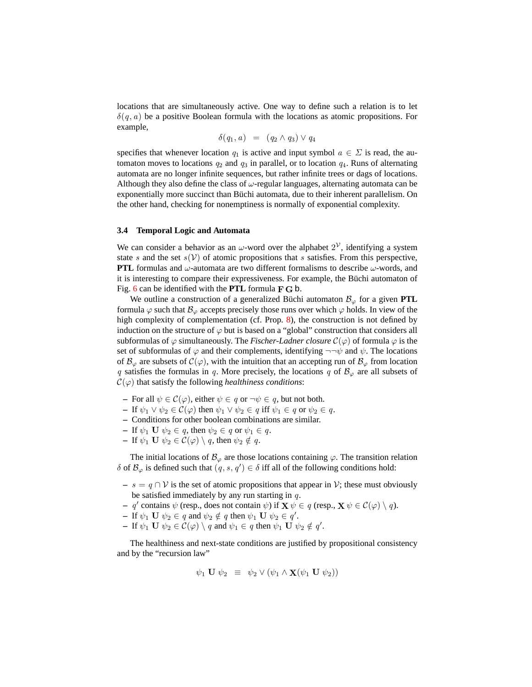locations that are simultaneously active. One way to define such a relation is to let  $\delta(q, a)$  be a positive Boolean formula with the locations as atomic propositions. For example,

$$
\delta(q_1, a) = (q_2 \wedge q_3) \vee q_4
$$

specifies that whenever location  $q_1$  is active and input symbol  $a \in \Sigma$  is read, the automaton moves to locations  $q_2$  and  $q_3$  in parallel, or to location  $q_4$ . Runs of alternating automata are no longer infinite sequences, but rather infinite trees or dags of locations. Although they also define the class of  $\omega$ -regular languages, alternating automata can be exponentially more succinct than Büchi automata, due to their inherent parallelism. On the other hand, checking for nonemptiness is normally of exponential complexity.

#### <span id="page-13-0"></span>**3.4 Temporal Logic and Automata**

We can consider a behavior as an  $\omega$ -word over the alphabet  $2^{\mathcal{V}}$ , identifying a system state s and the set  $s(V)$  of atomic propositions that s satisfies. From this perspective, **PTL** formulas and  $\omega$ -automata are two different formalisms to describe  $\omega$ -words, and it is interesting to compare their expressiveness. For example, the Büchi automaton of Fig. [6](#page-11-1) can be identified with the **PTL** formula F G b.

We outline a construction of a generalized Büchi automaton  $B_{\varphi}$  for a given **PTL** formula  $\varphi$  such that  $\mathcal{B}_{\varphi}$  accepts precisely those runs over which  $\varphi$  holds. In view of the high complexity of complementation (cf. Prop. [8\)](#page-12-0), the construction is not defined by induction on the structure of  $\varphi$  but is based on a "global" construction that considers all subformulas of  $\varphi$  simultaneously. The *Fischer-Ladner closure*  $\mathcal{C}(\varphi)$  of formula  $\varphi$  is the set of subformulas of  $\varphi$  and their complements, identifying  $\neg\neg\psi$  and  $\psi$ . The locations of  $\mathcal{B}_{\varphi}$  are subsets of  $\mathcal{C}(\varphi)$ , with the intuition that an accepting run of  $\mathcal{B}_{\varphi}$  from location q satisfies the formulas in q. More precisely, the locations q of  $\mathcal{B}_{\varphi}$  are all subsets of  $C(\varphi)$  that satisfy the following *healthiness conditions*:

- **–** For all  $\psi \in C(\varphi)$ , either  $\psi \in q$  or  $\neg \psi \in q$ , but not both.
- **–** If  $\psi_1 \lor \psi_2 \in C(\varphi)$  then  $\psi_1 \lor \psi_2 \in q$  iff  $\psi_1 \in q$  or  $\psi_2 \in q$ .
- **–** Conditions for other boolean combinations are similar.
- **–** If  $\psi_1$  **U**  $\psi_2 \in q$ , then  $\psi_2 \in q$  or  $\psi_1 \in q$ .
- **–** If  $\psi_1$  **U**  $\psi_2 \in \mathcal{C}(\varphi) \setminus q$ , then  $\psi_2 \notin q$ .

The initial locations of  $\mathcal{B}_{\varphi}$  are those locations containing  $\varphi$ . The transition relation  $\delta$  of  $\mathcal{B}_{\varphi}$  is defined such that  $(q, s, q') \in \delta$  iff all of the following conditions hold:

- $− s = q ∩ V$  is the set of atomic propositions that appear in V; these must obviously be satisfied immediately by any run starting in  $q$ .
- **–** q' contains  $\psi$  (resp., does not contain  $\psi$ ) if  $\mathbf{X} \psi \in q$  (resp.,  $\mathbf{X} \psi \in C(\varphi) \setminus q$ ).
- **–** If  $\psi_1 \mathbf{U} \psi_2 \in q$  and  $\psi_2 \notin q$  then  $\psi_1 \mathbf{U} \psi_2 \in q'$ .
- **–** If  $\psi_1 \mathbf{U} \psi_2 \in \mathcal{C}(\varphi) \setminus q$  and  $\psi_1 \in q$  then  $\psi_1 \mathbf{U} \psi_2 \notin q'$ .

The healthiness and next-state conditions are justified by propositional consistency and by the "recursion law"

$$
\psi_1 \mathbf{U} \psi_2 \equiv \psi_2 \vee (\psi_1 \wedge \mathbf{X}(\psi_1 \mathbf{U} \psi_2))
$$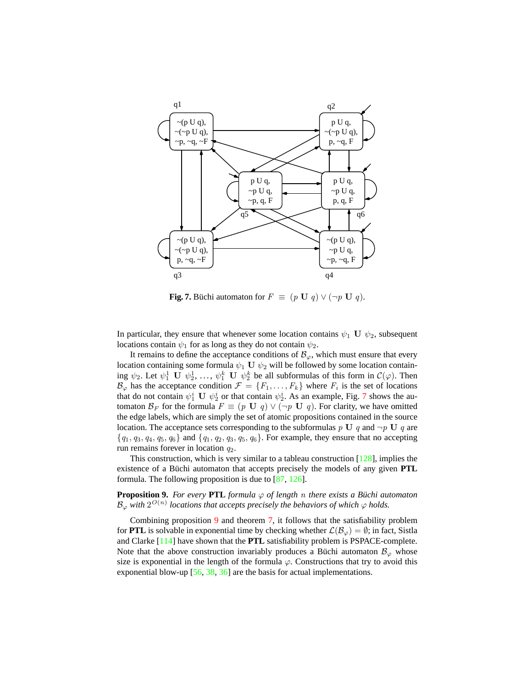

<span id="page-14-0"></span>**Fig. 7.** Buchi automaton for  $F \equiv (p \mathbf{U} q) \vee (\neg p \mathbf{U} q)$ .

In particular, they ensure that whenever some location contains  $\psi_1$  U  $\psi_2$ , subsequent locations contain  $\psi_1$  for as long as they do not contain  $\psi_2$ .

It remains to define the acceptance conditions of  $\mathcal{B}_{\varphi}$ , which must ensure that every location containing some formula  $\psi_1$  U  $\psi_2$  will be followed by some location containing  $\psi_2$ . Let  $\psi_1^1$  U  $\psi_2^1$ , ...,  $\psi_1^k$  U  $\psi_2^k$  be all subformulas of this form in  $\mathcal{C}(\varphi)$ . Then  $\mathcal{B}_{\varphi}$  has the acceptance condition  $\mathcal{F} = \{F_1, \ldots, F_k\}$  where  $F_i$  is the set of locations that do not contain  $\psi_1^i$  U  $\psi_2^i$  or that contain  $\psi_2^i$ . As an example, Fig. [7](#page-14-0) shows the automaton  $\mathcal{B}_F$  for the formula  $F \equiv (p \mathbf{U} q) \vee (\neg p \mathbf{U} q)$ . For clarity, we have omitted the edge labels, which are simply the set of atomic propositions contained in the source location. The acceptance sets corresponding to the subformulas  $p U q$  and  $\neg p U q$  are  ${q_1, q_3, q_4, q_5, q_6}$  and  ${q_1, q_2, q_3, q_5, q_6}$ . For example, they ensure that no accepting run remains forever in location  $q_2$ .

This construction, which is very similar to a tableau construction  $[128]$  $[128]$ , implies the existence of a Büchi automaton that accepts precisely the models of any given **PTL** formula. The following proposition is due to [[87,](#page-31-7) [126\]](#page-33-6).

## <span id="page-14-1"></span>**Proposition 9.** For every **PTL** formula  $\varphi$  of length n there exists a Büchi automaton  $\mathcal{B}_{\varphi}$  with  $2^{O(n)}$  locations that accepts precisely the behaviors of which  $\varphi$  holds.

Combining proposition [9](#page-14-1) and theorem [7,](#page-11-2) it follows that the satisfiability problem for **PTL** is solvable in exponential time by checking whether  $\mathcal{L}(\mathcal{B}_{\alpha}) = \emptyset$ ; in fact, Sistla and Clarke [[114\]](#page-32-8) have shown that the **PTL** satisfiability problem is PSPACE-complete. Note that the above construction invariably produces a Büchi automaton  $\mathcal{B}_{\varphi}$  whose size is exponential in the length of the formula  $\varphi$ . Constructions that try to avoid this exponential blow-up  $[56, 38, 36]$  $[56, 38, 36]$  $[56, 38, 36]$  $[56, 38, 36]$  $[56, 38, 36]$  $[56, 38, 36]$  are the basis for actual implementations.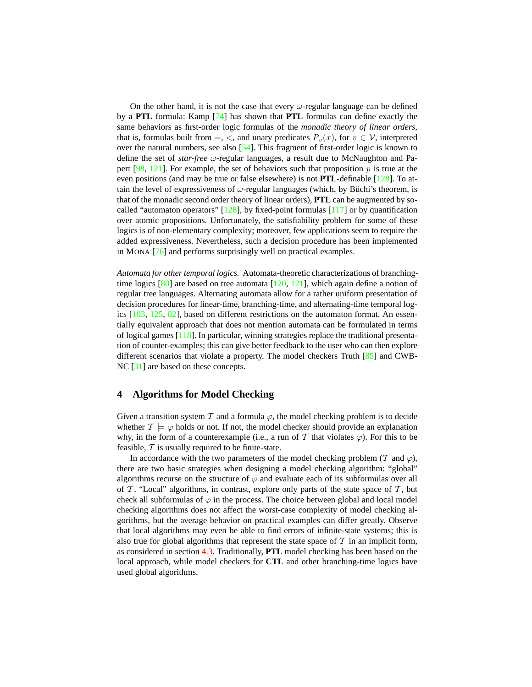On the other hand, it is not the case that every  $\omega$ -regular language can be defined by a **PTL** formula: Kamp [\[74\]](#page-30-5) has shown that **PTL** formulas can define exactly the same behaviors as first-order logic formulas of the *monadic theory of linear orders*, that is, formulas built from  $=$ ,  $\lt$ , and unary predicates  $P_v(x)$ , for  $v \in V$ , interpreted over the natural numbers, see also [\[54](#page-29-4)]. This fragment of first-order logic is known to define the set of *star-free* ω-regular languages, a result due to McNaughton and Pa-pert [[98,](#page-32-9) [121\]](#page-33-3). For example, the set of behaviors such that proposition  $p$  is true at the even positions (and may be true or false elsewhere) is not **PTL**-definable [[128\]](#page-33-7). To attain the level of expressiveness of  $\omega$ -regular languages (which, by Büchi's theorem, is that of the monadic second order theory of linear orders), **PTL** can be augmented by socalled "automaton operators"  $[128]$  $[128]$ , by fixed-point formulas  $[117]$  $[117]$  or by quantification over atomic propositions. Unfortunately, the satisfiability problem for some of these logics is of non-elementary complexity; moreover, few applications seem to require the added expressiveness. Nevertheless, such a decision procedure has been implemented in MONA [[76\]](#page-31-8) and performs surprisingly well on practical examples.

*Automata for other temporal logics.* Automata-theoretic characterizations of branchingtime logics  $[80]$  $[80]$  are based on tree automata  $[120, 121]$  $[120, 121]$  $[120, 121]$  $[120, 121]$ , which again define a notion of regular tree languages. Alternating automata allow for a rather uniform presentation of decision procedures for linear-time, branching-time, and alternating-time temporal logics [\[103](#page-32-10), [125,](#page-33-8) [82](#page-31-10)], based on different restrictions on the automaton format. An essentially equivalent approach that does not mention automata can be formulated in terms of logical games [\[118](#page-33-9)]. In particular, winning strategies replace the traditional presentation of counter-examples; this can give better feedback to the user who can then explore different scenarios that violate a property. The model checkers Truth [\[85](#page-31-11)] and CWB-NC [\[31](#page-28-4)] are based on these concepts.

## <span id="page-15-0"></span>**4 Algorithms for Model Checking**

Given a transition system T and a formula  $\varphi$ , the model checking problem is to decide whether  $\mathcal{T} \models \varphi$  holds or not. If not, the model checker should provide an explanation why, in the form of a counterexample (i.e., a run of T that violates  $\varphi$ ). For this to be feasible,  $T$  is usually required to be finite-state.

In accordance with the two parameters of the model checking problem (T and  $\varphi$ ), there are two basic strategies when designing a model checking algorithm: "global" algorithms recurse on the structure of  $\varphi$  and evaluate each of its subformulas over all of T. "Local" algorithms, in contrast, explore only parts of the state space of  $\mathcal T$ , but check all subformulas of  $\varphi$  in the process. The choice between global and local model checking algorithms does not affect the worst-case complexity of model checking algorithms, but the average behavior on practical examples can differ greatly. Observe that local algorithms may even be able to find errors of infinite-state systems; this is also true for global algorithms that represent the state space of  $\mathcal T$  in an implicit form, as considered in section [4.3.](#page-19-0) Traditionally, **PTL** model checking has been based on the local approach, while model checkers for **CTL** and other branching-time logics have used global algorithms.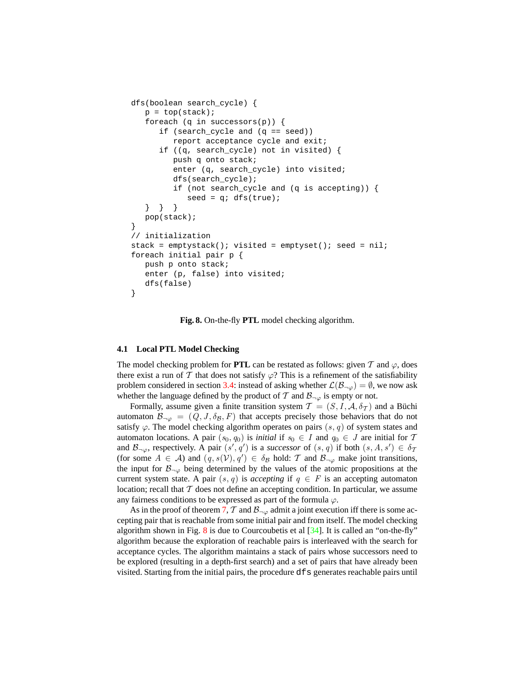```
dfs(boolean search_cycle) {
   p = top(stack);
   foreach (q in successors(p)) {
      if (search_cycle and (q == seed))
         report acceptance cycle and exit;
      if ((q, search_cycle) not in visited) {
         push q onto stack;
         enter (q, search cycle) into visited;
         dfs(search_cycle);
         if (not search_cycle and (q is accepting)) {
            seed = qi dfs(true);
   } } }
   pop(stack);
}
// initialization
stack = emptystack(); visited = emptyset(); seed = nil;foreach initial pair p {
  push p onto stack;
   enter (p, false) into visited;
   dfs(false)
}
```
<span id="page-16-0"></span>**Fig. 8.** On-the-fly **PTL** model checking algorithm.

#### **4.1 Local PTL Model Checking**

The model checking problem for **PTL** can be restated as follows: given  $T$  and  $\varphi$ , does there exist a run of T that does not satisfy  $\varphi$ ? This is a refinement of the satisfiability problem considered in section [3.4](#page-13-0): instead of asking whether  $\mathcal{L}(\mathcal{B}_{\neg\varphi}) = \emptyset$ , we now ask whether the language defined by the product of T and  $\mathcal{B}_{\neg\varphi}$  is empty or not.

Formally, assume given a finite transition system  $\mathcal{T} = (S, I, \mathcal{A}, \delta_{\mathcal{T}})$  and a Büchi automaton  $\mathcal{B}_{\neg \varphi} = (Q, J, \delta_{\mathcal{B}}, F)$  that accepts precisely those behaviors that do not satisfy  $\varphi$ . The model checking algorithm operates on pairs  $(s, q)$  of system states and automaton locations. A pair  $(s_0, q_0)$  is *initial* if  $s_0 \in I$  and  $q_0 \in J$  are initial for T and  $\mathcal{B}_{\neg\varphi}$ , respectively. A pair  $(s', q')$  is a *successor* of  $(s, q)$  if both  $(s, A, s') \in \delta_{\mathcal{A}}$ (for some  $A \in \mathcal{A}$ ) and  $(q, s(\mathcal{V}), q') \in \delta_{\mathcal{B}}$  hold: T and  $\mathcal{B}_{\neg \varphi}$  make joint transitions, the input for  $\mathcal{B}_{\neg\varphi}$  being determined by the values of the atomic propositions at the current system state. A pair  $(s, q)$  is *accepting* if  $q \in F$  is an accepting automaton location; recall that  $T$  does not define an accepting condition. In particular, we assume any fairness conditions to be expressed as part of the formula  $\varphi$ .

As in the proof of theorem [7,](#page-11-2) T and  $\mathcal{B}_{\neg\varphi}$  admit a joint execution iff there is some accepting pair that is reachable from some initial pair and from itself. The model checking algorithm shown in Fig. [8](#page-16-0) is due to Courcoubetis et al [\[34](#page-28-5)]. It is called an "on-the-fly" algorithm because the exploration of reachable pairs is interleaved with the search for acceptance cycles. The algorithm maintains a stack of pairs whose successors need to be explored (resulting in a depth-first search) and a set of pairs that have already been visited. Starting from the initial pairs, the procedure dfs generates reachable pairs until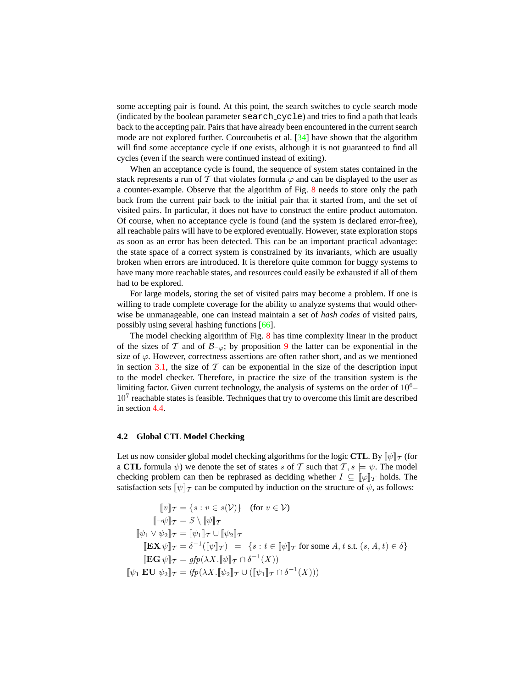some accepting pair is found. At this point, the search switches to cycle search mode (indicated by the boolean parameter search cycle) and tries to find a path that leads back to the accepting pair. Pairs that have already been encountered in the current search mode are not explored further. Courcoubetis et al. [\[34](#page-28-5)] have shown that the algorithm will find some acceptance cycle if one exists, although it is not guaranteed to find all cycles (even if the search were continued instead of exiting).

When an acceptance cycle is found, the sequence of system states contained in the stack represents a run of T that violates formula  $\varphi$  and can be displayed to the user as a counter-example. Observe that the algorithm of Fig. [8](#page-16-0) needs to store only the path back from the current pair back to the initial pair that it started from, and the set of visited pairs. In particular, it does not have to construct the entire product automaton. Of course, when no acceptance cycle is found (and the system is declared error-free), all reachable pairs will have to be explored eventually. However, state exploration stops as soon as an error has been detected. This can be an important practical advantage: the state space of a correct system is constrained by its invariants, which are usually broken when errors are introduced. It is therefore quite common for buggy systems to have many more reachable states, and resources could easily be exhausted if all of them had to be explored.

For large models, storing the set of visited pairs may become a problem. If one is willing to trade complete coverage for the ability to analyze systems that would otherwise be unmanageable, one can instead maintain a set of *hash codes* of visited pairs, possibly using several hashing functions [\[66](#page-30-6)].

The model checking algorithm of Fig. [8](#page-16-0) has time complexity linear in the product of the sizes of T and of  $\mathcal{B}_{\neg\varphi}$ ; by proposition [9](#page-14-1) the latter can be exponential in the size of  $\varphi$ . However, correctness assertions are often rather short, and as we mentioned in section [3.1,](#page-7-2) the size of  $T$  can be exponential in the size of the description input to the model checker. Therefore, in practice the size of the transition system is the limiting factor. Given current technology, the analysis of systems on the order of  $10^6$ – 10<sup>7</sup> reachable states is feasible. Techniques that try to overcome this limit are described in section [4.4](#page-23-0).

#### <span id="page-17-0"></span>**4.2 Global CTL Model Checking**

Let us now consider global model checking algorithms for the logic **CTL**. By  $[\psi]_{\mathcal{T}}$  (for a **CTL** formula  $\psi$ ) we denote the set of states s of T such that  $T, s \models \psi$ . The model checking problem can then be rephrased as deciding whether  $I \subseteq \llbracket \varphi \rrbracket_T$  holds. The satisfaction sets  $[\![\psi]\!]_T$  can be computed by induction on the structure of  $\psi$ , as follows:

$$
\begin{aligned}\n\llbracket v \rrbracket_T &= \{ s : v \in s(\mathcal{V}) \} \quad \text{(for } v \in \mathcal{V}) \\
\llbracket \neg \psi \rrbracket_T &= S \setminus \llbracket \psi \rrbracket_T \\
\llbracket \psi_1 \vee \psi_2 \rrbracket_T &= \llbracket \psi_1 \rrbracket_T \cup \llbracket \psi_2 \rrbracket_T \\
\llbracket \mathbf{EX} \psi \rrbracket_T &= \delta^{-1} (\llbracket \psi \rrbracket_T) = \{ s : t \in \llbracket \psi \rrbracket_T \text{ for some } A, t \text{ s.t. } (s, A, t) \in \delta \} \\
\llbracket \mathbf{EG} \psi \rrbracket_T &= gfp(\lambda X. \llbracket \psi \rrbracket_T \cap \delta^{-1}(X)) \\
\llbracket \psi_1 \mathbf{EU} \psi_2 \rrbracket_T &= \text{If } p(\lambda X. \llbracket \psi_2 \rrbracket_T \cup (\llbracket \psi_1 \rrbracket_T \cap \delta^{-1}(X)))\n\end{aligned}
$$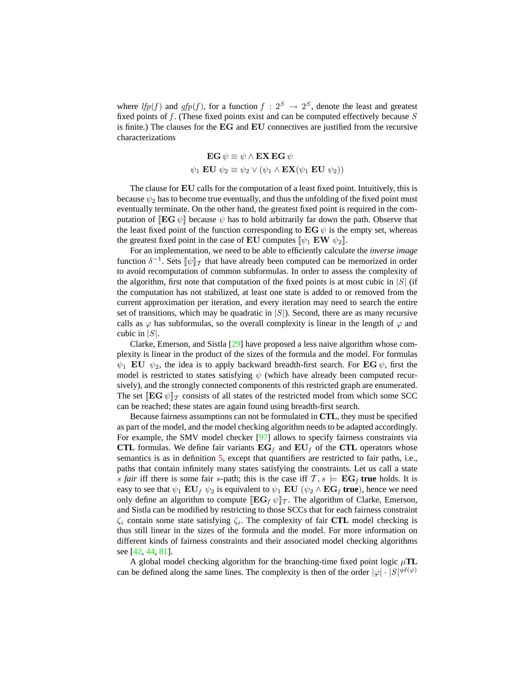where  $lfp(f)$  and  $gfp(f)$ , for a function  $f: 2^S \rightarrow 2^S$ , denote the least and greatest fixed points of f. (These fixed points exist and can be computed effectively because  $S$ is finite.) The clauses for the EG and EU connectives are justified from the recursive characterizations

$$
\mathbf{EG} \ \psi \equiv \psi \land \mathbf{EX} \ \mathbf{EG} \ \psi
$$

$$
\psi_1 \ \mathbf{EU} \ \psi_2 \equiv \psi_2 \lor (\psi_1 \land \mathbf{EX}(\psi_1 \ \mathbf{EU} \ \psi_2))
$$

The clause for EU calls for the computation of a least fixed point. Intuitively, this is because  $\psi_2$  has to become true eventually, and thus the unfolding of the fixed point must eventually terminate. On the other hand, the greatest fixed point is required in the computation of  $[\mathbb{E}G \psi]$  because  $\psi$  has to hold arbitrarily far down the path. Observe that the least fixed point of the function corresponding to  $\mathbf{E} \mathbf{G} \psi$  is the empty set, whereas the greatest fixed point in the case of EU computes  $[\psi_1 \to \mathbf{W} \ \psi_2]$ .

For an implementation, we need to be able to efficiently calculate the *inverse image* function  $\delta^{-1}$ . Sets  $[\![\psi]\!]_{\mathcal{T}}$  that have already been computed can be memorized in order to avoid recomputation of common subformulas. In order to assess the complexity of the algorithm, first note that computation of the fixed points is at most cubic in  $|S|$  (if the computation has not stabilized, at least one state is added to or removed from the current approximation per iteration, and every iteration may need to search the entire set of transitions, which may be quadratic in  $|S|$ ). Second, there are as many recursive calls as  $\varphi$  has subformulas, so the overall complexity is linear in the length of  $\varphi$  and cubic in  $|S|$ .

Clarke, Emerson, and Sistla [[29\]](#page-28-6) have proposed a less naive algorithm whose complexity is linear in the product of the sizes of the formula and the model. For formulas  $\psi_1$  EU  $\psi_2$ , the idea is to apply backward breadth-first search. For EG  $\psi$ , first the model is restricted to states satisfying  $\psi$  (which have already been computed recursively), and the strongly connected components of this restricted graph are enumerated. The set  $[\mathbb{E}G \psi]_T$  consists of all states of the restricted model from which some SCC can be reached; these states are again found using breadth-first search.

Because fairness assumptions can not be formulated in **CTL**, they must be specified as part of the model, and the model checking algorithm needs to be adapted accordingly. For example, the SMV model checker [\[97](#page-32-0)] allows to specify fairness constraints via **CTL** formulas. We define fair variants  $EG_f$  and  $EU_f$  of the **CTL** operators whose semantics is as in definition [5,](#page-9-0) except that quantifiers are restricted to fair paths, i.e., paths that contain infinitely many states satisfying the constraints. Let us call a state s fair iff there is some fair s-path; this is the case iff  $\mathcal{T}, s \models \mathbf{EG}_f$  true holds. It is easy to see that  $\psi_1$   $\mathbf{EU}_f$   $\psi_2$  is equivalent to  $\psi_1$   $\mathbf{EU}$  ( $\psi_2 \wedge \mathbf{EG}_f$  **true**), hence we need only define an algorithm to compute  $[\mathbf{EG}_f \psi]_{\mathcal{T}}$ . The algorithm of Clarke, Emerson, and Sistla can be modified by restricting to those SCCs that for each fairness constraint  $\zeta_i$  contain some state satisfying  $\zeta_i$ . The complexity of fair **CTL** model checking is thus still linear in the sizes of the formula and the model. For more information on different kinds of fairness constraints and their associated model checking algorithms see [\[42](#page-29-5), [44](#page-29-6), [81](#page-31-12)].

A global model checking algorithm for the branching-time fixed point logic  $\mu$ **TL** can be defined along the same lines. The complexity is then of the order  $|\varphi| \cdot |S|^{qd(\varphi)}$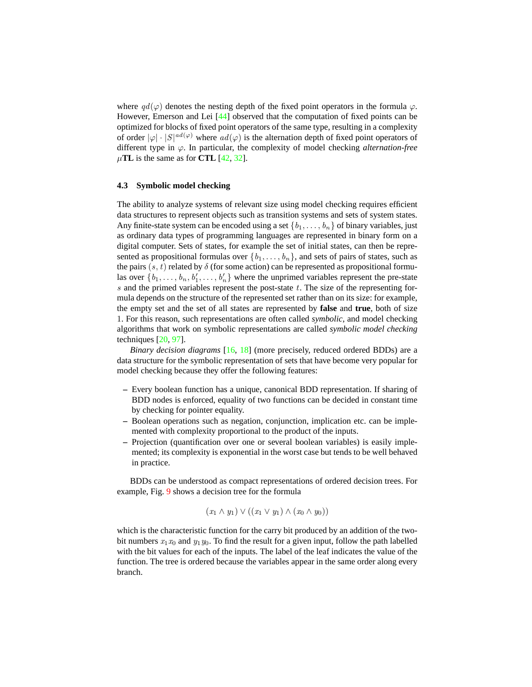where  $qd(\varphi)$  denotes the nesting depth of the fixed point operators in the formula  $\varphi$ . However, Emerson and Lei [\[44](#page-29-6)] observed that the computation of fixed points can be optimized for blocks of fixed point operators of the same type, resulting in a complexity of order  $|\varphi| \cdot |S|^{ad(\varphi)}$  where  $ad(\varphi)$  is the alternation depth of fixed point operators of different type in ϕ. In particular, the complexity of model checking *alternation-free*  $\mu$ **TL** is the same as for **CTL** [\[42](#page-29-5), [32](#page-28-7)].

#### <span id="page-19-0"></span>**4.3 Symbolic model checking**

The ability to analyze systems of relevant size using model checking requires efficient data structures to represent objects such as transition systems and sets of system states. Any finite-state system can be encoded using a set  $\{b_1, \ldots, b_n\}$  of binary variables, just as ordinary data types of programming languages are represented in binary form on a digital computer. Sets of states, for example the set of initial states, can then be represented as propositional formulas over  $\{b_1, \ldots, b_n\}$ , and sets of pairs of states, such as the pairs  $(s, t)$  related by  $\delta$  (for some action) can be represented as propositional formulas over  $\{b_1, \ldots, b_n, b'_1, \ldots, b'_n\}$  where the unprimed variables represent the pre-state  $s$  and the primed variables represent the post-state  $t$ . The size of the representing formula depends on the structure of the represented set rather than on its size: for example, the empty set and the set of all states are represented by **false** and **true**, both of size 1. For this reason, such representations are often called *symbolic*, and model checking algorithms that work on symbolic representations are called *symbolic model checking* techniques [\[20](#page-28-8), [97](#page-32-0)].

*Binary decision diagrams* [\[16](#page-27-3), [18](#page-27-4)] (more precisely, reduced ordered BDDs) are a data structure for the symbolic representation of sets that have become very popular for model checking because they offer the following features:

- **–** Every boolean function has a unique, canonical BDD representation. If sharing of BDD nodes is enforced, equality of two functions can be decided in constant time by checking for pointer equality.
- **–** Boolean operations such as negation, conjunction, implication etc. can be implemented with complexity proportional to the product of the inputs.
- **–** Projection (quantification over one or several boolean variables) is easily implemented; its complexity is exponential in the worst case but tends to be well behaved in practice.

BDDs can be understood as compact representations of ordered decision trees. For example, Fig. [9](#page-20-0) shows a decision tree for the formula

$$
(x_1 \wedge y_1) \vee ((x_1 \vee y_1) \wedge (x_0 \wedge y_0))
$$

which is the characteristic function for the carry bit produced by an addition of the twobit numbers  $x_1x_0$  and  $y_1y_0$ . To find the result for a given input, follow the path labelled with the bit values for each of the inputs. The label of the leaf indicates the value of the function. The tree is ordered because the variables appear in the same order along every branch.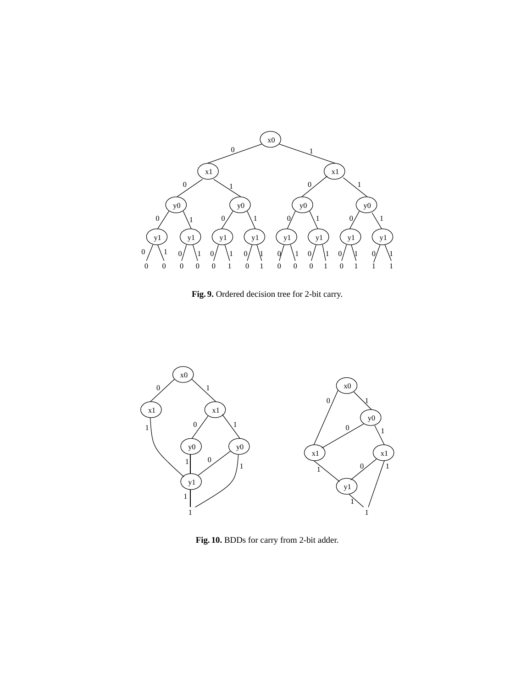

<span id="page-20-0"></span>**Fig. 9.** Ordered decision tree for 2-bit carry.



<span id="page-20-1"></span>**Fig. 10.** BDDs for carry from 2-bit adder.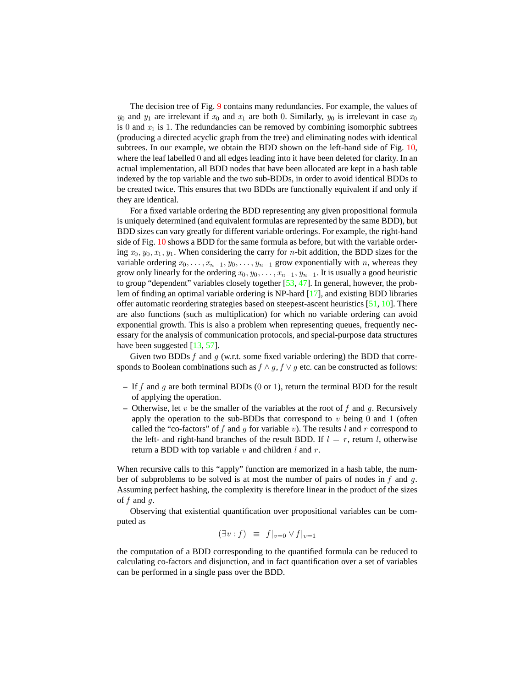The decision tree of Fig. [9](#page-20-0) contains many redundancies. For example, the values of  $y_0$  and  $y_1$  are irrelevant if  $x_0$  and  $x_1$  are both 0. Similarly,  $y_0$  is irrelevant in case  $x_0$ is 0 and  $x_1$  is 1. The redundancies can be removed by combining isomorphic subtrees (producing a directed acyclic graph from the tree) and eliminating nodes with identical subtrees. In our example, we obtain the BDD shown on the left-hand side of Fig. [10](#page-20-1), where the leaf labelled 0 and all edges leading into it have been deleted for clarity. In an actual implementation, all BDD nodes that have been allocated are kept in a hash table indexed by the top variable and the two sub-BDDs, in order to avoid identical BDDs to be created twice. This ensures that two BDDs are functionally equivalent if and only if they are identical.

For a fixed variable ordering the BDD representing any given propositional formula is uniquely determined (and equivalent formulas are represented by the same BDD), but BDD sizes can vary greatly for different variable orderings. For example, the right-hand side of Fig. [10](#page-20-1) shows a BDD for the same formula as before, but with the variable ordering  $x_0, y_0, x_1, y_1$ . When considering the carry for *n*-bit addition, the BDD sizes for the variable ordering  $x_0, \ldots, x_{n-1}, y_0, \ldots, y_{n-1}$  grow exponentially with n, whereas they grow only linearly for the ordering  $x_0, y_0, \ldots, x_{n-1}, y_{n-1}$ . It is usually a good heuristic to group "dependent" variables closely together [\[53](#page-29-7), [47\]](#page-29-8). In general, however, the problem of finding an optimal variable ordering is NP-hard [\[17](#page-27-5)], and existing BDD libraries offer automatic reordering strategies based on steepest-ascent heuristics [[51](#page-29-9), [10](#page-27-6)]. There are also functions (such as multiplication) for which no variable ordering can avoid exponential growth. This is also a problem when representing queues, frequently necessary for the analysis of communication protocols, and special-purpose data structures have been suggested [\[13](#page-27-7), [57](#page-30-7)].

Given two BDDs  $f$  and  $g$  (w.r.t. some fixed variable ordering) the BDD that corresponds to Boolean combinations such as  $f \wedge g$ ,  $f \vee g$  etc. can be constructed as follows:

- **–** If f and g are both terminal BDDs (0 or 1), return the terminal BDD for the result of applying the operation.
- **–** Otherwise, let v be the smaller of the variables at the root of f and g. Recursively apply the operation to the sub-BDDs that correspond to  $v$  being 0 and 1 (often called the "co-factors" of f and g for variable v). The results  $l$  and  $r$  correspond to the left- and right-hand branches of the result BDD. If  $l = r$ , return l, otherwise return a BDD with top variable  $v$  and children  $l$  and  $r$ .

When recursive calls to this "apply" function are memorized in a hash table, the number of subproblems to be solved is at most the number of pairs of nodes in f and q. Assuming perfect hashing, the complexity is therefore linear in the product of the sizes of  $f$  and  $g$ .

Observing that existential quantification over propositional variables can be computed as

$$
(\exists v : f) \equiv f|_{v=0} \vee f|_{v=1}
$$

the computation of a BDD corresponding to the quantified formula can be reduced to calculating co-factors and disjunction, and in fact quantification over a set of variables can be performed in a single pass over the BDD.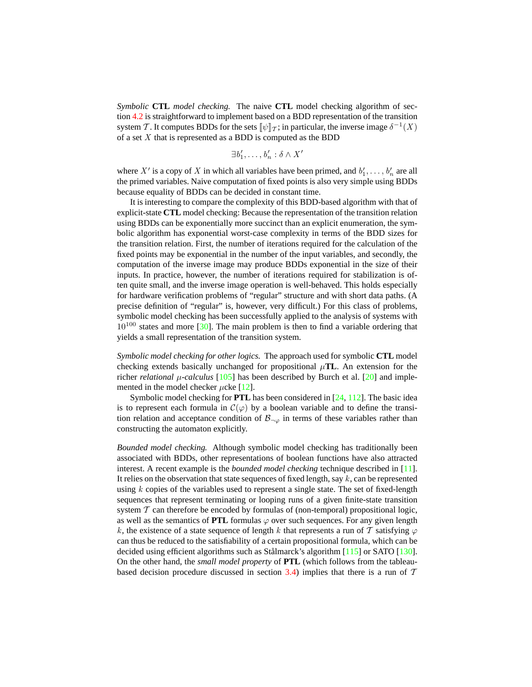*Symbolic* **CTL** *model checking.* The naive **CTL** model checking algorithm of section [4.2](#page-17-0) is straightforward to implement based on a BDD representation of the transition system T. It computes BDDs for the sets  $[\![\psi]\!]_T$ ; in particular, the inverse image  $\delta^{-1}(X)$ of a set  $X$  that is represented as a BDD is computed as the BDD

$$
\exists b'_1,\ldots,b'_n:\delta\wedge X'
$$

where X' is a copy of X in which all variables have been primed, and  $b'_1, \ldots, b'_n$  are all the primed variables. Naive computation of fixed points is also very simple using BDDs because equality of BDDs can be decided in constant time.

It is interesting to compare the complexity of this BDD-based algorithm with that of explicit-state **CTL** model checking: Because the representation of the transition relation using BDDs can be exponentially more succinct than an explicit enumeration, the symbolic algorithm has exponential worst-case complexity in terms of the BDD sizes for the transition relation. First, the number of iterations required for the calculation of the fixed points may be exponential in the number of the input variables, and secondly, the computation of the inverse image may produce BDDs exponential in the size of their inputs. In practice, however, the number of iterations required for stabilization is often quite small, and the inverse image operation is well-behaved. This holds especially for hardware verification problems of "regular" structure and with short data paths. (A precise definition of "regular" is, however, very difficult.) For this class of problems, symbolic model checking has been successfully applied to the analysis of systems with  $10^{100}$  states and more [[30\]](#page-28-9). The main problem is then to find a variable ordering that yields a small representation of the transition system.

*Symbolic model checking for other logics.* The approach used for symbolic **CTL** model checking extends basically unchanged for propositional  $\mu$ **TL**. An extension for the richer *relational*  $\mu$ -*calculus* [\[105](#page-32-11)] has been described by Burch et al. [[20\]](#page-28-8) and implemented in the model checker  $\mu$ cke [[12\]](#page-27-8).

Symbolic model checking for **PTL** has been considered in [[24,](#page-28-10) [112\]](#page-32-12). The basic idea is to represent each formula in  $\mathcal{C}(\varphi)$  by a boolean variable and to define the transition relation and acceptance condition of  $\mathcal{B}_{\neg \varphi}$  in terms of these variables rather than constructing the automaton explicitly.

*Bounded model checking.* Although symbolic model checking has traditionally been associated with BDDs, other representations of boolean functions have also attracted interest. A recent example is the *bounded model checking* technique described in [[11\]](#page-27-9). It relies on the observation that state sequences of fixed length, say  $k$ , can be represented using  $k$  copies of the variables used to represent a single state. The set of fixed-length sequences that represent terminating or looping runs of a given finite-state transition system  $T$  can therefore be encoded by formulas of (non-temporal) propositional logic, as well as the semantics of **PTL** formulas  $\varphi$  over such sequences. For any given length k, the existence of a state sequence of length k that represents a run of T satisfying  $\varphi$ can thus be reduced to the satisfiability of a certain propositional formula, which can be decided using efficient algorithms such as Stålmarck's algorithm  $[115]$  $[115]$  or SATO  $[130]$  $[130]$ . On the other hand, the *small model property* of **PTL** (which follows from the tableau-based decision procedure discussed in section [3.4\)](#page-13-0) implies that there is a run of  $\mathcal T$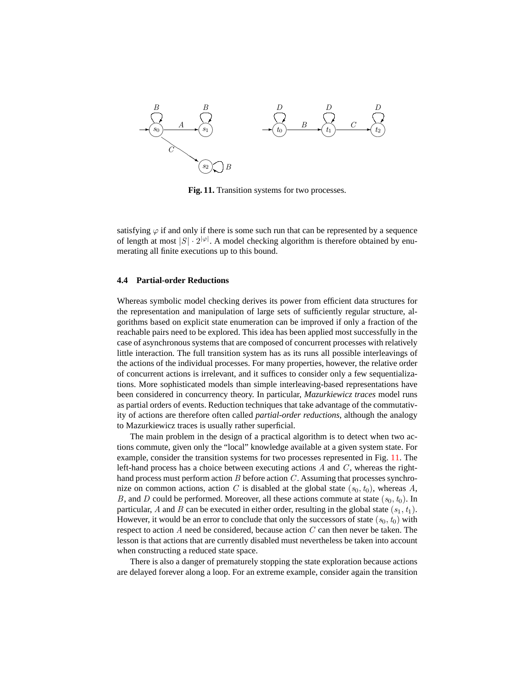

<span id="page-23-1"></span>**Fig. 11.** Transition systems for two processes.

satisfying  $\varphi$  if and only if there is some such run that can be represented by a sequence of length at most  $|S| \cdot 2^{|\varphi|}$ . A model checking algorithm is therefore obtained by enumerating all finite executions up to this bound.

#### <span id="page-23-0"></span>**4.4 Partial-order Reductions**

Whereas symbolic model checking derives its power from efficient data structures for the representation and manipulation of large sets of sufficiently regular structure, algorithms based on explicit state enumeration can be improved if only a fraction of the reachable pairs need to be explored. This idea has been applied most successfully in the case of asynchronous systems that are composed of concurrent processes with relatively little interaction. The full transition system has as its runs all possible interleavings of the actions of the individual processes. For many properties, however, the relative order of concurrent actions is irrelevant, and it suffices to consider only a few sequentializations. More sophisticated models than simple interleaving-based representations have been considered in concurrency theory. In particular, *Mazurkiewicz traces* model runs as partial orders of events. Reduction techniques that take advantage of the commutativity of actions are therefore often called *partial-order reductions*, although the analogy to Mazurkiewicz traces is usually rather superficial.

The main problem in the design of a practical algorithm is to detect when two actions commute, given only the "local" knowledge available at a given system state. For example, consider the transition systems for two processes represented in Fig. [11.](#page-23-1) The left-hand process has a choice between executing actions  $A$  and  $C$ , whereas the righthand process must perform action B before action  $C$ . Assuming that processes synchronize on common actions, action C is disabled at the global state  $(s_0, t_0)$ , whereas A, B, and D could be performed. Moreover, all these actions commute at state  $(s_0, t_0)$ . In particular, A and B can be executed in either order, resulting in the global state  $(s_1, t_1)$ . However, it would be an error to conclude that only the successors of state  $(s_0, t_0)$  with respect to action A need be considered, because action C can then never be taken. The lesson is that actions that are currently disabled must nevertheless be taken into account when constructing a reduced state space.

There is also a danger of prematurely stopping the state exploration because actions are delayed forever along a loop. For an extreme example, consider again the transition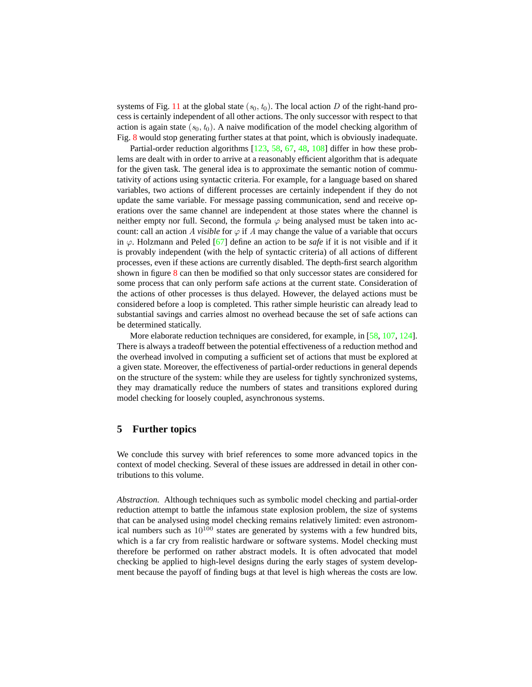systems of Fig. [11](#page-23-1) at the global state  $(s_0, t_0)$ . The local action D of the right-hand process is certainly independent of all other actions. The only successor with respect to that action is again state  $(s_0, t_0)$ . A naive modification of the model checking algorithm of Fig. [8](#page-16-0) would stop generating further states at that point, which is obviously inadequate.

Partial-order reduction algorithms [\[123](#page-33-11), [58,](#page-30-8) [67](#page-30-9), [48,](#page-29-10) [108\]](#page-32-14) differ in how these problems are dealt with in order to arrive at a reasonably efficient algorithm that is adequate for the given task. The general idea is to approximate the semantic notion of commutativity of actions using syntactic criteria. For example, for a language based on shared variables, two actions of different processes are certainly independent if they do not update the same variable. For message passing communication, send and receive operations over the same channel are independent at those states where the channel is neither empty nor full. Second, the formula  $\varphi$  being analysed must be taken into account: call an action A *visible* for  $\varphi$  if A may change the value of a variable that occurs in  $\varphi$ . Holzmann and Peled [[67\]](#page-30-9) define an action to be *safe* if it is not visible and if it is provably independent (with the help of syntactic criteria) of all actions of different processes, even if these actions are currently disabled. The depth-first search algorithm shown in figure [8](#page-16-0) can then be modified so that only successor states are considered for some process that can only perform safe actions at the current state. Consideration of the actions of other processes is thus delayed. However, the delayed actions must be considered before a loop is completed. This rather simple heuristic can already lead to substantial savings and carries almost no overhead because the set of safe actions can be determined statically.

More elaborate reduction techniques are considered, for example, in [\[58](#page-30-8), [107](#page-32-15), [124\]](#page-33-0). There is always a tradeoff between the potential effectiveness of a reduction method and the overhead involved in computing a sufficient set of actions that must be explored at a given state. Moreover, the effectiveness of partial-order reductions in general depends on the structure of the system: while they are useless for tightly synchronized systems, they may dramatically reduce the numbers of states and transitions explored during model checking for loosely coupled, asynchronous systems.

## <span id="page-24-0"></span>**5 Further topics**

We conclude this survey with brief references to some more advanced topics in the context of model checking. Several of these issues are addressed in detail in other contributions to this volume.

*Abstraction.* Although techniques such as symbolic model checking and partial-order reduction attempt to battle the infamous state explosion problem, the size of systems that can be analysed using model checking remains relatively limited: even astronomical numbers such as  $10^{100}$  states are generated by systems with a few hundred bits, which is a far cry from realistic hardware or software systems. Model checking must therefore be performed on rather abstract models. It is often advocated that model checking be applied to high-level designs during the early stages of system development because the payoff of finding bugs at that level is high whereas the costs are low.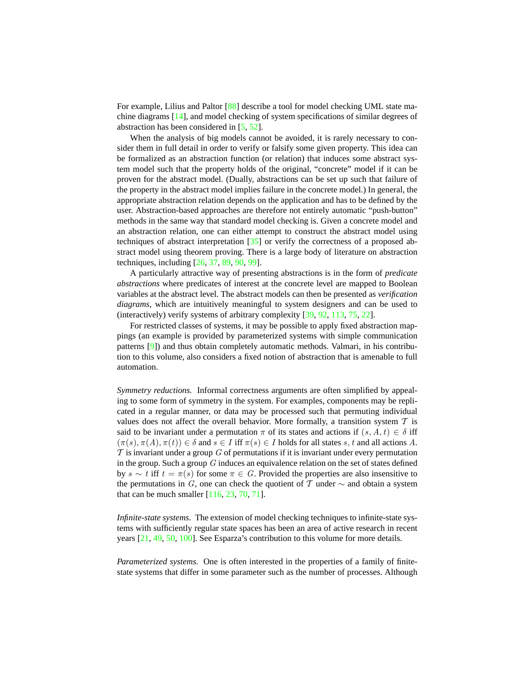For example, Lilius and Paltor [\[88](#page-31-13)] describe a tool for model checking UML state machine diagrams [[14\]](#page-27-10), and model checking of system specifications of similar degrees of abstraction has been considered in [\[5](#page-27-11), [52](#page-29-11)].

When the analysis of big models cannot be avoided, it is rarely necessary to consider them in full detail in order to verify or falsify some given property. This idea can be formalized as an abstraction function (or relation) that induces some abstract system model such that the property holds of the original, "concrete" model if it can be proven for the abstract model. (Dually, abstractions can be set up such that failure of the property in the abstract model implies failure in the concrete model.) In general, the appropriate abstraction relation depends on the application and has to be defined by the user. Abstraction-based approaches are therefore not entirely automatic "push-button" methods in the same way that standard model checking is. Given a concrete model and an abstraction relation, one can either attempt to construct the abstract model using techniques of abstract interpretation [[35\]](#page-28-11) or verify the correctness of a proposed abstract model using theorem proving. There is a large body of literature on abstraction techniques, including [[26,](#page-28-12) [37,](#page-28-13) [89,](#page-31-14) [90,](#page-31-15) [99\]](#page-32-16).

A particularly attractive way of presenting abstractions is in the form of *predicate abstractions* where predicates of interest at the concrete level are mapped to Boolean variables at the abstract level. The abstract models can then be presented as *verification diagrams*, which are intuitively meaningful to system designers and can be used to (interactively) verify systems of arbitrary complexity [[39,](#page-29-12) [92](#page-31-16), [113](#page-32-17), [75](#page-30-10), [22](#page-28-14)].

For restricted classes of systems, it may be possible to apply fixed abstraction mappings (an example is provided by parameterized systems with simple communication patterns [[9\]](#page-27-12)) and thus obtain completely automatic methods. Valmari, in his contribution to this volume, also considers a fixed notion of abstraction that is amenable to full automation.

*Symmetry reductions.* Informal correctness arguments are often simplified by appealing to some form of symmetry in the system. For examples, components may be replicated in a regular manner, or data may be processed such that permuting individual values does not affect the overall behavior. More formally, a transition system  $T$  is said to be invariant under a permutation  $\pi$  of its states and actions if  $(s, A, t) \in \delta$  iff  $(\pi(s), \pi(A), \pi(t)) \in \delta$  and  $s \in I$  iff  $\pi(s) \in I$  holds for all states s, t and all actions A.  $\mathcal T$  is invariant under a group  $G$  of permutations if it is invariant under every permutation in the group. Such a group  $G$  induces an equivalence relation on the set of states defined by  $s \sim t$  iff  $t = \pi(s)$  for some  $\pi \in G$ . Provided the properties are also insensitive to the permutations in G, one can check the quotient of T under  $\sim$  and obtain a system that can be much smaller  $[116, 23, 70, 71]$  $[116, 23, 70, 71]$  $[116, 23, 70, 71]$  $[116, 23, 70, 71]$  $[116, 23, 70, 71]$  $[116, 23, 70, 71]$  $[116, 23, 70, 71]$ .

*Infinite-state systems.* The extension of model checking techniques to infinite-state systems with sufficiently regular state spaces has been an area of active research in recent years [[21,](#page-28-16) [49](#page-29-13), [50](#page-29-14), [100](#page-32-18)]. See Esparza's contribution to this volume for more details.

*Parameterized systems.* One is often interested in the properties of a family of finitestate systems that differ in some parameter such as the number of processes. Although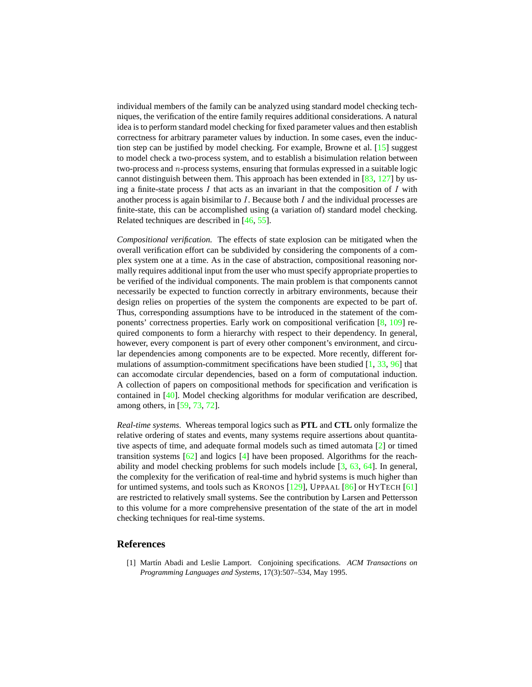individual members of the family can be analyzed using standard model checking techniques, the verification of the entire family requires additional considerations. A natural idea is to perform standard model checking for fixed parameter values and then establish correctness for arbitrary parameter values by induction. In some cases, even the induction step can be justified by model checking. For example, Browne et al. [\[15](#page-27-13)] suggest to model check a two-process system, and to establish a bisimulation relation between two-process and n-process systems, ensuring that formulas expressed in a suitable logic cannot distinguish between them. This approach has been extended in [[83,](#page-31-17) [127\]](#page-33-13) by using a finite-state process I that acts as an invariant in that the composition of I with another process is again bisimilar to I. Because both I and the individual processes are finite-state, this can be accomplished using (a variation of) standard model checking. Related techniques are described in [[46,](#page-29-15) [55\]](#page-29-16).

*Compositional verification.* The effects of state explosion can be mitigated when the overall verification effort can be subdivided by considering the components of a complex system one at a time. As in the case of abstraction, compositional reasoning normally requires additional input from the user who must specify appropriate properties to be verified of the individual components. The main problem is that components cannot necessarily be expected to function correctly in arbitrary environments, because their design relies on properties of the system the components are expected to be part of. Thus, corresponding assumptions have to be introduced in the statement of the components' correctness properties. Early work on compositional verification [[8,](#page-27-14) [109](#page-32-19)] required components to form a hierarchy with respect to their dependency. In general, however, every component is part of every other component's environment, and circular dependencies among components are to be expected. More recently, different formulations of assumption-commitment specifications have been studied [\[1](#page-26-0), [33](#page-28-17), [96\]](#page-32-20) that can accomodate circular dependencies, based on a form of computational induction. A collection of papers on compositional methods for specification and verification is contained in [\[40](#page-29-17)]. Model checking algorithms for modular verification are described, among others, in [\[59](#page-30-13), [73](#page-30-14), [72](#page-30-15)].

*Real-time systems.* Whereas temporal logics such as **PTL** and **CTL** only formalize the relative ordering of states and events, many systems require assertions about quantitative aspects of time, and adequate formal models such as timed automata [[2](#page-27-15)] or timed transition systems [[62\]](#page-30-16) and logics [[4\]](#page-27-16) have been proposed. Algorithms for the reachability and model checking problems for such models include [\[3](#page-27-17), [63,](#page-30-17) [64](#page-30-18)]. In general, the complexity for the verification of real-time and hybrid systems is much higher than for untimed systems, and tools such as KRONOS [\[129](#page-33-14)], UPPAAL [\[86](#page-31-18)] or HYTECH [\[61](#page-30-19)] are restricted to relatively small systems. See the contribution by Larsen and Pettersson to this volume for a more comprehensive presentation of the state of the art in model checking techniques for real-time systems.

## **References**

<span id="page-26-0"></span>[1] Martín Abadi and Leslie Lamport. Conjoining specifications. *ACM Transactions on Programming Languages and Systems*, 17(3):507–534, May 1995.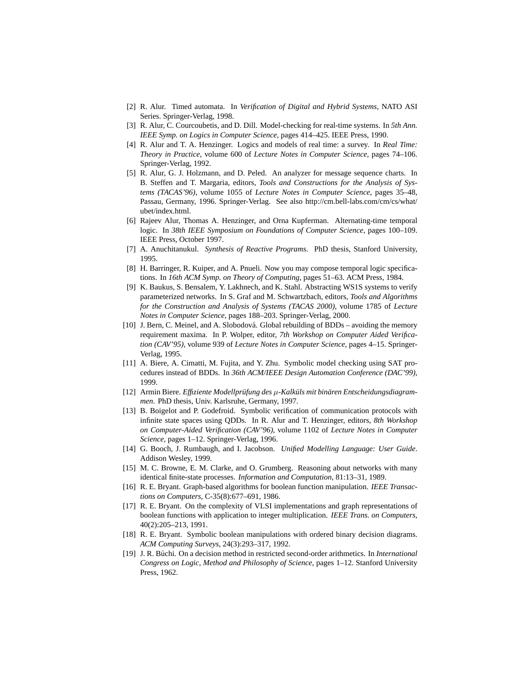- <span id="page-27-15"></span>[2] R. Alur. Timed automata. In *Verification of Digital and Hybrid Systems*, NATO ASI Series. Springer-Verlag, 1998.
- <span id="page-27-17"></span>[3] R. Alur, C. Courcoubetis, and D. Dill. Model-checking for real-time systems. In *5th Ann. IEEE Symp. on Logics in Computer Science*, pages 414–425. IEEE Press, 1990.
- <span id="page-27-16"></span>[4] R. Alur and T. A. Henzinger. Logics and models of real time: a survey. In *Real Time: Theory in Practice*, volume 600 of *Lecture Notes in Computer Science*, pages 74–106. Springer-Verlag, 1992.
- <span id="page-27-11"></span>[5] R. Alur, G. J. Holzmann, and D. Peled. An analyzer for message sequence charts. In B. Steffen and T. Margaria, editors, *Tools and Constructions for the Analysis of Systems (TACAS'96)*, volume 1055 of *Lecture Notes in Computer Science*, pages 35–48, Passau, Germany, 1996. Springer-Verlag. See also http://cm.bell-labs.com/cm/cs/what/ ubet/index.html.
- <span id="page-27-0"></span>[6] Rajeev Alur, Thomas A. Henzinger, and Orna Kupferman. Alternating-time temporal logic. In *38th IEEE Symposium on Foundations of Computer Science*, pages 100–109. IEEE Press, October 1997.
- <span id="page-27-2"></span>[7] A. Anuchitanukul. *Synthesis of Reactive Programs*. PhD thesis, Stanford University, 1995.
- <span id="page-27-14"></span>[8] H. Barringer, R. Kuiper, and A. Pnueli. Now you may compose temporal logic specifications. In *16th ACM Symp. on Theory of Computing*, pages 51–63. ACM Press, 1984.
- <span id="page-27-12"></span>[9] K. Baukus, S. Bensalem, Y. Lakhnech, and K. Stahl. Abstracting WS1S systems to verify parameterized networks. In S. Graf and M. Schwartzbach, editors, *Tools and Algorithms for the Construction and Analysis of Systems (TACAS 2000)*, volume 1785 of *Lecture Notes in Computer Science*, pages 188–203. Springer-Verlag, 2000.
- <span id="page-27-6"></span>[10] J. Bern, C. Meinel, and A. Slobodová. Global rebuilding of BDDs – avoiding the memory requirement maxima. In P. Wolper, editor, *7th Workshop on Computer Aided Verification (CAV'95)*, volume 939 of *Lecture Notes in Computer Science*, pages 4–15. Springer-Verlag, 1995.
- <span id="page-27-9"></span>[11] A. Biere, A. Cimatti, M. Fujita, and Y. Zhu. Symbolic model checking using SAT procedures instead of BDDs. In *36th ACM/IEEE Design Automation Conference (DAC'99)*, 1999.
- <span id="page-27-8"></span>[12] Armin Biere. *Effiziente Modellprufung des ¨* µ*-Kalkuls mit bin ¨ aren Entscheidungsdiagram- ¨ men*. PhD thesis, Univ. Karlsruhe, Germany, 1997.
- <span id="page-27-7"></span>[13] B. Boigelot and P. Godefroid. Symbolic verification of communication protocols with infinite state spaces using QDDs. In R. Alur and T. Henzinger, editors, *8th Workshop on Computer-Aided Verification (CAV'96)*, volume 1102 of *Lecture Notes in Computer Science*, pages 1–12. Springer-Verlag, 1996.
- <span id="page-27-10"></span>[14] G. Booch, J. Rumbaugh, and I. Jacobson. *Unified Modelling Language: User Guide*. Addison Wesley, 1999.
- <span id="page-27-13"></span>[15] M. C. Browne, E. M. Clarke, and O. Grumberg. Reasoning about networks with many identical finite-state processes. *Information and Computation*, 81:13–31, 1989.
- <span id="page-27-3"></span>[16] R. E. Bryant. Graph-based algorithms for boolean function manipulation. *IEEE Transactions on Computers*, C-35(8):677–691, 1986.
- <span id="page-27-5"></span>[17] R. E. Bryant. On the complexity of VLSI implementations and graph representations of boolean functions with application to integer multiplication. *IEEE Trans. on Computers*, 40(2):205–213, 1991.
- <span id="page-27-4"></span>[18] R. E. Bryant. Symbolic boolean manipulations with ordered binary decision diagrams. *ACM Computing Surveys*, 24(3):293–317, 1992.
- <span id="page-27-1"></span>[19] J. R. Büchi. On a decision method in restricted second-order arithmetics. In *International Congress on Logic, Method and Philosophy of Science*, pages 1–12. Stanford University Press, 1962.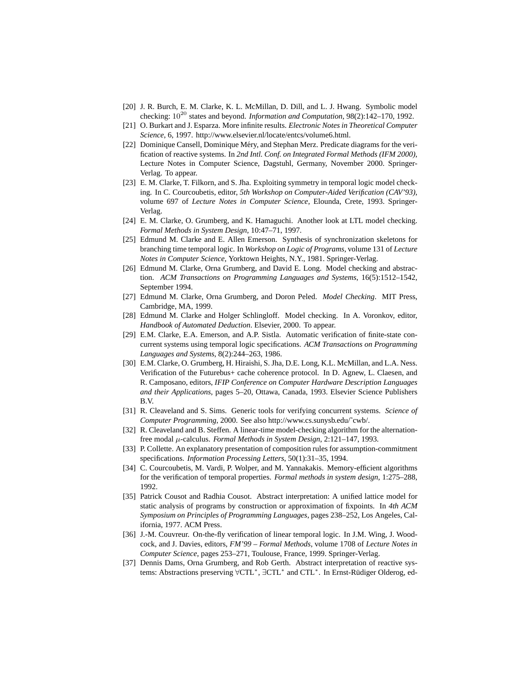- <span id="page-28-8"></span>[20] J. R. Burch, E. M. Clarke, K. L. McMillan, D. Dill, and L. J. Hwang. Symbolic model checking: 10<sup>20</sup> states and beyond. *Information and Computation*, 98(2):142–170, 1992.
- <span id="page-28-16"></span>[21] O. Burkart and J. Esparza. More infinite results. *Electronic Notes in Theoretical Computer Science*, 6, 1997. http://www.elsevier.nl/locate/entcs/volume6.html.
- <span id="page-28-14"></span>[22] Dominique Cansell, Dominique Mery, and Stephan Merz. Predicate diagrams for the veri- ´ fication of reactive systems. In *2nd Intl. Conf. on Integrated Formal Methods (IFM 2000)*, Lecture Notes in Computer Science, Dagstuhl, Germany, November 2000. Springer-Verlag. To appear.
- <span id="page-28-15"></span>[23] E. M. Clarke, T. Filkorn, and S. Jha. Exploiting symmetry in temporal logic model checking. In C. Courcoubetis, editor, *5th Workshop on Computer-Aided Verification (CAV'93)*, volume 697 of *Lecture Notes in Computer Science*, Elounda, Crete, 1993. Springer-Verlag.
- <span id="page-28-10"></span>[24] E. M. Clarke, O. Grumberg, and K. Hamaguchi. Another look at LTL model checking. *Formal Methods in System Design*, 10:47–71, 1997.
- <span id="page-28-2"></span>[25] Edmund M. Clarke and E. Allen Emerson. Synthesis of synchronization skeletons for branching time temporal logic. In *Workshop on Logic of Programs*, volume 131 of *Lecture Notes in Computer Science*, Yorktown Heights, N.Y., 1981. Springer-Verlag.
- <span id="page-28-12"></span>[26] Edmund M. Clarke, Orna Grumberg, and David E. Long. Model checking and abstraction. *ACM Transactions on Programming Languages and Systems*, 16(5):1512–1542, September 1994.
- <span id="page-28-0"></span>[27] Edmund M. Clarke, Orna Grumberg, and Doron Peled. *Model Checking*. MIT Press, Cambridge, MA, 1999.
- <span id="page-28-1"></span>[28] Edmund M. Clarke and Holger Schlingloff. Model checking. In A. Voronkov, editor, *Handbook of Automated Deduction*. Elsevier, 2000. To appear.
- <span id="page-28-6"></span>[29] E.M. Clarke, E.A. Emerson, and A.P. Sistla. Automatic verification of finite-state concurrent systems using temporal logic specifications. *ACM Transactions on Programming Languages and Systems*, 8(2):244–263, 1986.
- <span id="page-28-9"></span>[30] E.M. Clarke, O. Grumberg, H. Hiraishi, S. Jha, D.E. Long, K.L. McMillan, and L.A. Ness. Verification of the Futurebus+ cache coherence protocol. In D. Agnew, L. Claesen, and R. Camposano, editors, *IFIP Conference on Computer Hardware Description Languages and their Applications*, pages 5–20, Ottawa, Canada, 1993. Elsevier Science Publishers B.V.
- <span id="page-28-4"></span>[31] R. Cleaveland and S. Sims. Generic tools for verifying concurrent systems. *Science of Computer Programming*, 2000. See also http://www.cs.sunysb.edu/˜cwb/.
- <span id="page-28-7"></span>[32] R. Cleaveland and B. Steffen. A linear-time model-checking algorithm for the alternationfree modal µ-calculus. *Formal Methods in System Design*, 2:121–147, 1993.
- <span id="page-28-17"></span>[33] P. Collette. An explanatory presentation of composition rules for assumption-commitment specifications. *Information Processing Letters*, 50(1):31–35, 1994.
- <span id="page-28-5"></span>[34] C. Courcoubetis, M. Vardi, P. Wolper, and M. Yannakakis. Memory-efficient algorithms for the verification of temporal properties. *Formal methods in system design*, 1:275–288, 1992.
- <span id="page-28-11"></span>[35] Patrick Cousot and Radhia Cousot. Abstract interpretation: A unified lattice model for static analysis of programs by construction or approximation of fixpoints. In *4th ACM Symposium on Principles of Programming Languages*, pages 238–252, Los Angeles, California, 1977. ACM Press.
- <span id="page-28-3"></span>[36] J.-M. Couvreur. On-the-fly verification of linear temporal logic. In J.M. Wing, J. Woodcock, and J. Davies, editors, *FM'99 – Formal Methods*, volume 1708 of *Lecture Notes in Computer Science*, pages 253–271, Toulouse, France, 1999. Springer-Verlag.
- <span id="page-28-13"></span>[37] Dennis Dams, Orna Grumberg, and Rob Gerth. Abstract interpretation of reactive systems: Abstractions preserving ∀CTL\*, ∃CTL\* and CTL\*. In Ernst-Rüdiger Olderog, ed-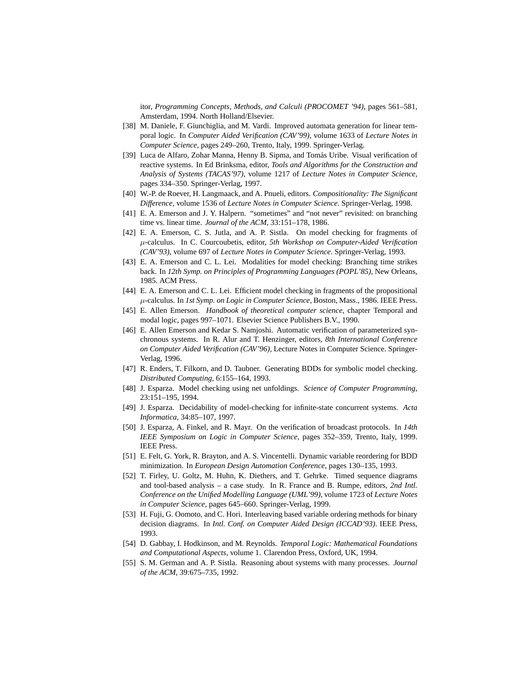itor, *Programming Concepts, Methods, and Calculi (PROCOMET '94)*, pages 561–581, Amsterdam, 1994. North Holland/Elsevier.

- <span id="page-29-3"></span>[38] M. Daniele, F. Giunchiglia, and M. Vardi. Improved automata generation for linear temporal logic. In *Computer Aided Verification (CAV'99)*, volume 1633 of *Lecture Notes in Computer Science*, pages 249–260, Trento, Italy, 1999. Springer-Verlag.
- <span id="page-29-12"></span>[39] Luca de Alfaro, Zohar Manna, Henny B. Sipma, and Tomas Uribe. Visual verification of ´ reactive systems. In Ed Brinksma, editor, *Tools and Algorithms for the Construction and Analysis of Systems (TACAS'97)*, volume 1217 of *Lecture Notes in Computer Science*, pages 334–350. Springer-Verlag, 1997.
- <span id="page-29-17"></span>[40] W.-P. de Roever, H. Langmaack, and A. Pnueli, editors. *Compositionality: The Significant Difference*, volume 1536 of *Lecture Notes in Computer Science*. Springer-Verlag, 1998.
- <span id="page-29-1"></span>[41] E. A. Emerson and J. Y. Halpern. "sometimes" and "not never" revisited: on branching time vs. linear time. *Journal of the ACM*, 33:151–178, 1986.
- <span id="page-29-5"></span>[42] E. A. Emerson, C. S. Jutla, and A. P. Sistla. On model checking for fragments of µ-calculus. In C. Courcoubetis, editor, *5th Workshop on Computer-Aided Verification (CAV'93)*, volume 697 of *Lecture Notes in Computer Science*. Springer-Verlag, 1993.
- <span id="page-29-2"></span>[43] E. A. Emerson and C. L. Lei. Modalities for model checking: Branching time strikes back. In *12th Symp. on Principles of Programming Languages (POPL'85)*, New Orleans, 1985. ACM Press.
- <span id="page-29-6"></span>[44] E. A. Emerson and C. L. Lei. Efficient model checking in fragments of the propositional µ-calculus. In *1st Symp. on Logic in Computer Science*, Boston, Mass., 1986. IEEE Press.
- <span id="page-29-0"></span>[45] E. Allen Emerson. *Handbook of theoretical computer science*, chapter Temporal and modal logic, pages 997–1071. Elsevier Science Publishers B.V., 1990.
- <span id="page-29-15"></span>[46] E. Allen Emerson and Kedar S. Namjoshi. Automatic verification of parameterized synchronous systems. In R. Alur and T. Henzinger, editors, *8th International Conference on Computer Aided Verification (CAV'96)*, Lecture Notes in Computer Science. Springer-Verlag, 1996.
- <span id="page-29-8"></span>[47] R. Enders, T. Filkorn, and D. Taubner. Generating BDDs for symbolic model checking. *Distributed Computing*, 6:155–164, 1993.
- <span id="page-29-10"></span>[48] J. Esparza. Model checking using net unfoldings. *Science of Computer Programming*, 23:151–195, 1994.
- <span id="page-29-13"></span>[49] J. Esparza. Decidability of model-checking for infinite-state concurrent systems. *Acta Informatica*, 34:85–107, 1997.
- <span id="page-29-14"></span>[50] J. Esparza, A. Finkel, and R. Mayr. On the verification of broadcast protocols. In *14th IEEE Symposium on Logic in Computer Science*, pages 352–359, Trento, Italy, 1999. IEEE Press.
- <span id="page-29-9"></span>[51] E. Felt, G. York, R. Brayton, and A. S. Vincentelli. Dynamic variable reordering for BDD minimization. In *European Design Automation Conference*, pages 130–135, 1993.
- <span id="page-29-11"></span>[52] T. Firley, U. Goltz, M. Huhn, K. Diethers, and T. Gehrke. Timed sequence diagrams and tool-based analysis – a case study. In R. France and B. Rumpe, editors, *2nd Intl. Conference on the Unified Modelling Language (UML'99)*, volume 1723 of *Lecture Notes in Computer Science*, pages 645–660. Springer-Verlag, 1999.
- <span id="page-29-7"></span>[53] H. Fuji, G. Oomoto, and C. Hori. Interleaving based variable ordering methods for binary decision diagrams. In *Intl. Conf. on Computer Aided Design (ICCAD'93)*. IEEE Press, 1993.
- <span id="page-29-4"></span>[54] D. Gabbay, I. Hodkinson, and M. Reynolds. *Temporal Logic: Mathematical Foundations and Computational Aspects*, volume 1. Clarendon Press, Oxford, UK, 1994.
- <span id="page-29-16"></span>[55] S. M. German and A. P. Sistla. Reasoning about systems with many processes. *Journal of the ACM*, 39:675–735, 1992.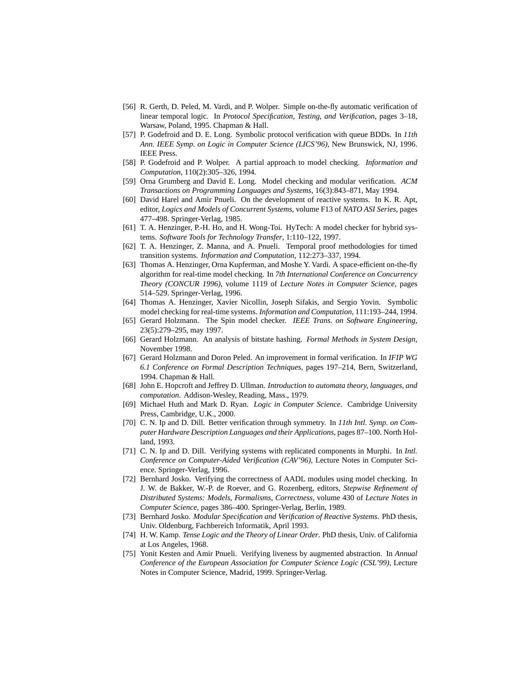- <span id="page-30-4"></span>[56] R. Gerth, D. Peled, M. Vardi, and P. Wolper. Simple on-the-fly automatic verification of linear temporal logic. In *Protocol Specification, Testing, and Verification*, pages 3–18, Warsaw, Poland, 1995. Chapman & Hall.
- <span id="page-30-7"></span>[57] P. Godefroid and D. E. Long. Symbolic protocol verification with queue BDDs. In *11th Ann. IEEE Symp. on Logic in Computer Science (LICS'96)*, New Brunswick, NJ, 1996. IEEE Press.
- <span id="page-30-8"></span>[58] P. Godefroid and P. Wolper. A partial approach to model checking. *Information and Computation*, 110(2):305–326, 1994.
- <span id="page-30-13"></span>[59] Orna Grumberg and David E. Long. Model checking and modular verification. *ACM Transactions on Programming Languages and Systems*, 16(3):843–871, May 1994.
- <span id="page-30-0"></span>[60] David Harel and Amir Pnueli. On the development of reactive systems. In K. R. Apt, editor, *Logics and Models of Concurrent Systems*, volume F13 of *NATO ASI Series*, pages 477–498. Springer-Verlag, 1985.
- <span id="page-30-19"></span>[61] T. A. Henzinger, P.-H. Ho, and H. Wong-Toi. HyTech: A model checker for hybrid systems. *Software Tools for Technology Transfer*, 1:110–122, 1997.
- <span id="page-30-16"></span>[62] T. A. Henzinger, Z. Manna, and A. Pnueli. Temporal proof methodologies for timed transition systems. *Information and Computation*, 112:273–337, 1994.
- <span id="page-30-17"></span>[63] Thomas A. Henzinger, Orna Kupferman, and Moshe Y. Vardi. A space-efficient on-the-fly algorithm for real-time model checking. In *7th International Conference on Concurrency Theory (CONCUR 1996)*, volume 1119 of *Lecture Notes in Computer Science*, pages 514–529. Springer-Verlag, 1996.
- <span id="page-30-18"></span>[64] Thomas A. Henzinger, Xavier Nicollin, Joseph Sifakis, and Sergio Yovin. Symbolic model checking for real-time systems. *Information and Computation*, 111:193–244, 1994.
- <span id="page-30-2"></span>[65] Gerard Holzmann. The Spin model checker. *IEEE Trans. on Software Engineering*, 23(5):279–295, may 1997.
- <span id="page-30-6"></span>[66] Gerard Holzmann. An analysis of bitstate hashing. *Formal Methods in System Design*, November 1998.
- <span id="page-30-9"></span>[67] Gerard Holzmann and Doron Peled. An improvement in formal verification. In *IFIP WG 6.1 Conference on Formal Description Techniques*, pages 197–214, Bern, Switzerland, 1994. Chapman & Hall.
- <span id="page-30-3"></span>[68] John E. Hopcroft and Jeffrey D. Ullman. *Introduction to automata theory, languages, and computation*. Addison-Wesley, Reading, Mass., 1979.
- <span id="page-30-1"></span>[69] Michael Huth and Mark D. Ryan. *Logic in Computer Science*. Cambridge University Press, Cambridge, U.K., 2000.
- <span id="page-30-11"></span>[70] C. N. Ip and D. Dill. Better verification through symmetry. In *11th Intl. Symp. on Computer Hardware Description Languages and their Applications*, pages 87–100. North Holland, 1993.
- <span id="page-30-12"></span>[71] C. N. Ip and D. Dill. Verifying systems with replicated components in Murphi. In *Intl. Conference on Computer-Aided Verification (CAV'96)*, Lecture Notes in Computer Science. Springer-Verlag, 1996.
- <span id="page-30-15"></span>[72] Bernhard Josko. Verifying the correctness of AADL modules using model checking. In J. W. de Bakker, W.-P. de Roever, and G. Rozenberg, editors, *Stepwise Refinement of Distributed Systems: Models, Formalisms, Correctness*, volume 430 of *Lecture Notes in Computer Science*, pages 386–400. Springer-Verlag, Berlin, 1989.
- <span id="page-30-14"></span>[73] Bernhard Josko. *Modular Specification and Verification of Reactive Systems*. PhD thesis, Univ. Oldenburg, Fachbereich Informatik, April 1993.
- <span id="page-30-5"></span>[74] H. W. Kamp. *Tense Logic and the Theory of Linear Order*. PhD thesis, Univ. of California at Los Angeles, 1968.
- <span id="page-30-10"></span>[75] Yonit Kesten and Amir Pnueli. Verifying liveness by augmented abstraction. In *Annual Conference of the European Association for Computer Science Logic (CSL'99)*, Lecture Notes in Computer Science, Madrid, 1999. Springer-Verlag.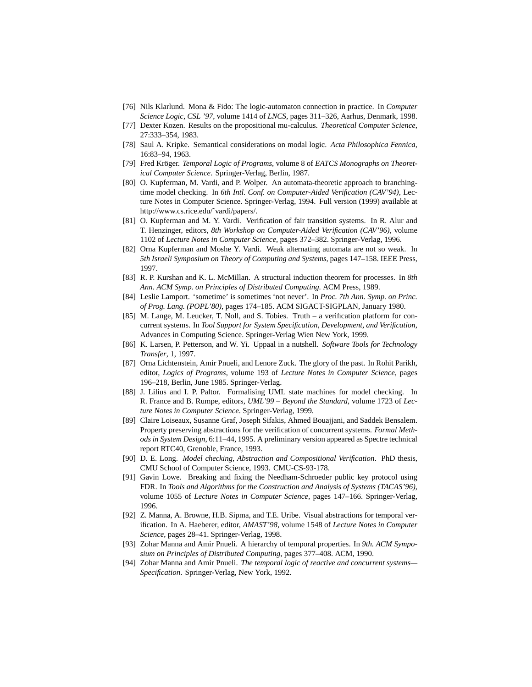- <span id="page-31-8"></span>[76] Nils Klarlund. Mona & Fido: The logic-automaton connection in practice. In *Computer Science Logic, CSL '97*, volume 1414 of *LNCS*, pages 311–326, Aarhus, Denmark, 1998.
- <span id="page-31-6"></span>[77] Dexter Kozen. Results on the propositional mu-calculus. *Theoretical Computer Science*, 27:333–354, 1983.
- <span id="page-31-2"></span>[78] Saul A. Kripke. Semantical considerations on modal logic. *Acta Philosophica Fennica*, 16:83–94, 1963.
- <span id="page-31-3"></span>[79] Fred Kröger. *Temporal Logic of Programs*, volume 8 of *EATCS Monographs on Theoretical Computer Science*. Springer-Verlag, Berlin, 1987.
- <span id="page-31-9"></span>[80] O. Kupferman, M. Vardi, and P. Wolper. An automata-theoretic approach to branchingtime model checking. In *6th Intl. Conf. on Computer-Aided Verification (CAV'94)*, Lecture Notes in Computer Science. Springer-Verlag, 1994. Full version (1999) available at http://www.cs.rice.edu/˜vardi/papers/.
- <span id="page-31-12"></span>[81] O. Kupferman and M. Y. Vardi. Verification of fair transition systems. In R. Alur and T. Henzinger, editors, *8th Workshop on Computer-Aided Verification (CAV'96)*, volume 1102 of *Lecture Notes in Computer Science*, pages 372–382. Springer-Verlag, 1996.
- <span id="page-31-10"></span>[82] Orna Kupferman and Moshe Y. Vardi. Weak alternating automata are not so weak. In *5th Israeli Symposium on Theory of Computing and Systems*, pages 147–158. IEEE Press, 1997.
- <span id="page-31-17"></span>[83] R. P. Kurshan and K. L. McMillan. A structural induction theorem for processes. In *8th Ann. ACM Symp. on Principles of Distributed Computing*. ACM Press, 1989.
- <span id="page-31-5"></span>[84] Leslie Lamport. 'sometime' is sometimes 'not never'. In *Proc. 7th Ann. Symp. on Princ. of Prog. Lang. (POPL'80)*, pages 174–185. ACM SIGACT-SIGPLAN, January 1980.
- <span id="page-31-11"></span>[85] M. Lange, M. Leucker, T. Noll, and S. Tobies. Truth – a verification platform for concurrent systems. In *Tool Support for System Specification, Development, and Verification*, Advances in Computing Science. Springer-Verlag Wien New York, 1999.
- <span id="page-31-18"></span>[86] K. Larsen, P. Petterson, and W. Yi. Uppaal in a nutshell. *Software Tools for Technology Transfer*, 1, 1997.
- <span id="page-31-7"></span>[87] Orna Lichtenstein, Amir Pnueli, and Lenore Zuck. The glory of the past. In Rohit Parikh, editor, *Logics of Programs*, volume 193 of *Lecture Notes in Computer Science*, pages 196–218, Berlin, June 1985. Springer-Verlag.
- <span id="page-31-13"></span>[88] J. Lilius and I. P. Paltor. Formalising UML state machines for model checking. In R. France and B. Rumpe, editors, *UML'99 – Beyond the Standard*, volume 1723 of *Lecture Notes in Computer Science*. Springer-Verlag, 1999.
- <span id="page-31-14"></span>[89] Claire Loiseaux, Susanne Graf, Joseph Sifakis, Ahmed Bouajjani, and Saddek Bensalem. Property preserving abstractions for the verification of concurrent systems. *Formal Methods in System Design*, 6:11–44, 1995. A preliminary version appeared as Spectre technical report RTC40, Grenoble, France, 1993.
- <span id="page-31-15"></span>[90] D. E. Long. *Model checking, Abstraction and Compositional Verification*. PhD thesis, CMU School of Computer Science, 1993. CMU-CS-93-178.
- <span id="page-31-1"></span>[91] Gavin Lowe. Breaking and fixing the Needham-Schroeder public key protocol using FDR. In *Tools and Algorithms for the Construction and Analysis of Systems (TACAS'96)*, volume 1055 of *Lecture Notes in Computer Science*, pages 147–166. Springer-Verlag, 1996.
- <span id="page-31-16"></span>[92] Z. Manna, A. Browne, H.B. Sipma, and T.E. Uribe. Visual abstractions for temporal verification. In A. Haeberer, editor, *AMAST'98*, volume 1548 of *Lecture Notes in Computer Science*, pages 28–41. Springer-Verlag, 1998.
- <span id="page-31-4"></span>[93] Zohar Manna and Amir Pnueli. A hierarchy of temporal properties. In *9th. ACM Symposium on Principles of Distributed Computing*, pages 377–408. ACM, 1990.
- <span id="page-31-0"></span>[94] Zohar Manna and Amir Pnueli. *The temporal logic of reactive and concurrent systems— Specification*. Springer-Verlag, New York, 1992.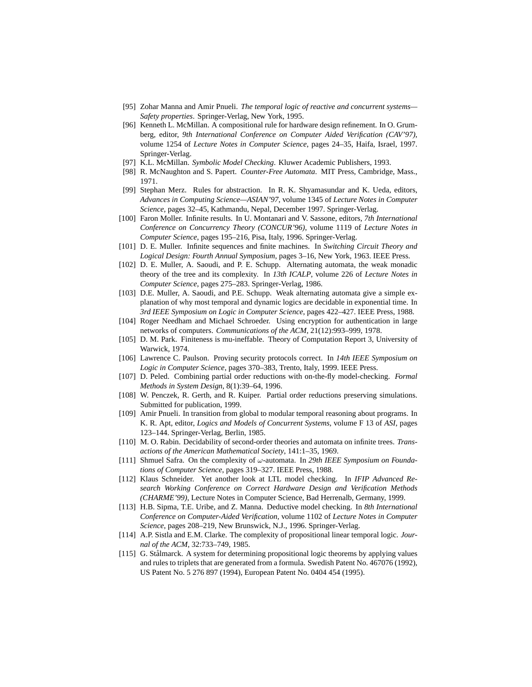- <span id="page-32-3"></span>[95] Zohar Manna and Amir Pnueli. *The temporal logic of reactive and concurrent systems— Safety properties*. Springer-Verlag, New York, 1995.
- <span id="page-32-20"></span>[96] Kenneth L. McMillan. A compositional rule for hardware design refinement. In O. Grumberg, editor, *9th International Conference on Computer Aided Verification (CAV'97)*, volume 1254 of *Lecture Notes in Computer Science*, pages 24–35, Haifa, Israel, 1997. Springer-Verlag.
- <span id="page-32-0"></span>[97] K.L. McMillan. *Symbolic Model Checking*. Kluwer Academic Publishers, 1993.
- <span id="page-32-9"></span>[98] R. McNaughton and S. Papert. *Counter-Free Automata*. MIT Press, Cambridge, Mass., 1971.
- <span id="page-32-16"></span>[99] Stephan Merz. Rules for abstraction. In R. K. Shyamasundar and K. Ueda, editors, *Advances in Computing Science—ASIAN'97*, volume 1345 of *Lecture Notes in Computer Science*, pages 32–45, Kathmandu, Nepal, December 1997. Springer-Verlag.
- <span id="page-32-18"></span>[100] Faron Moller. Infinite results. In U. Montanari and V. Sassone, editors, *7th International Conference on Concurrency Theory (CONCUR'96)*, volume 1119 of *Lecture Notes in Computer Science*, pages 195–216, Pisa, Italy, 1996. Springer-Verlag.
- <span id="page-32-4"></span>[101] D. E. Muller. Infinite sequences and finite machines. In *Switching Circuit Theory and Logical Design: Fourth Annual Symposium*, pages 3–16, New York, 1963. IEEE Press.
- <span id="page-32-7"></span>[102] D. E. Muller, A. Saoudi, and P. E. Schupp. Alternating automata, the weak monadic theory of the tree and its complexity. In *13th ICALP*, volume 226 of *Lecture Notes in Computer Science*, pages 275–283. Springer-Verlag, 1986.
- <span id="page-32-10"></span>[103] D.E. Muller, A. Saoudi, and P.E. Schupp. Weak alternating automata give a simple explanation of why most temporal and dynamic logics are decidable in exponential time. In *3rd IEEE Symposium on Logic in Computer Science*, pages 422–427. IEEE Press, 1988.
- <span id="page-32-1"></span>[104] Roger Needham and Michael Schroeder. Using encryption for authentication in large networks of computers. *Communications of the ACM*, 21(12):993–999, 1978.
- <span id="page-32-11"></span>[105] D. M. Park. Finiteness is mu-ineffable. Theory of Computation Report 3, University of Warwick, 1974.
- <span id="page-32-2"></span>[106] Lawrence C. Paulson. Proving security protocols correct. In *14th IEEE Symposium on Logic in Computer Science*, pages 370–383, Trento, Italy, 1999. IEEE Press.
- <span id="page-32-15"></span>[107] D. Peled. Combining partial order reductions with on-the-fly model-checking. *Formal Methods in System Design*, 8(1):39–64, 1996.
- <span id="page-32-14"></span>[108] W. Penczek, R. Gerth, and R. Kuiper. Partial order reductions preserving simulations. Submitted for publication, 1999.
- <span id="page-32-19"></span>[109] Amir Pnueli. In transition from global to modular temporal reasoning about programs. In K. R. Apt, editor, *Logics and Models of Concurrent Systems*, volume F 13 of *ASI*, pages 123–144. Springer-Verlag, Berlin, 1985.
- <span id="page-32-5"></span>[110] M. O. Rabin. Decidability of second-order theories and automata on infinite trees. *Transactions of the American Mathematical Society*, 141:1–35, 1969.
- <span id="page-32-6"></span>[111] Shmuel Safra. On the complexity of ω-automata. In *29th IEEE Symposium on Foundations of Computer Science*, pages 319–327. IEEE Press, 1988.
- <span id="page-32-12"></span>[112] Klaus Schneider. Yet another look at LTL model checking. In *IFIP Advanced Research Working Conference on Correct Hardware Design and Verification Methods (CHARME'99)*, Lecture Notes in Computer Science, Bad Herrenalb, Germany, 1999.
- <span id="page-32-17"></span>[113] H.B. Sipma, T.E. Uribe, and Z. Manna. Deductive model checking. In *8th International Conference on Computer-Aided Verification*, volume 1102 of *Lecture Notes in Computer Science*, pages 208–219, New Brunswick, N.J., 1996. Springer-Verlag.
- <span id="page-32-8"></span>[114] A.P. Sistla and E.M. Clarke. The complexity of propositional linear temporal logic. *Journal of the ACM*, 32:733–749, 1985.
- <span id="page-32-13"></span>[115] G. Stålmarck. A system for determining propositional logic theorems by applying values and rules to triplets that are generated from a formula. Swedish Patent No. 467076 (1992), US Patent No. 5 276 897 (1994), European Patent No. 0404 454 (1995).